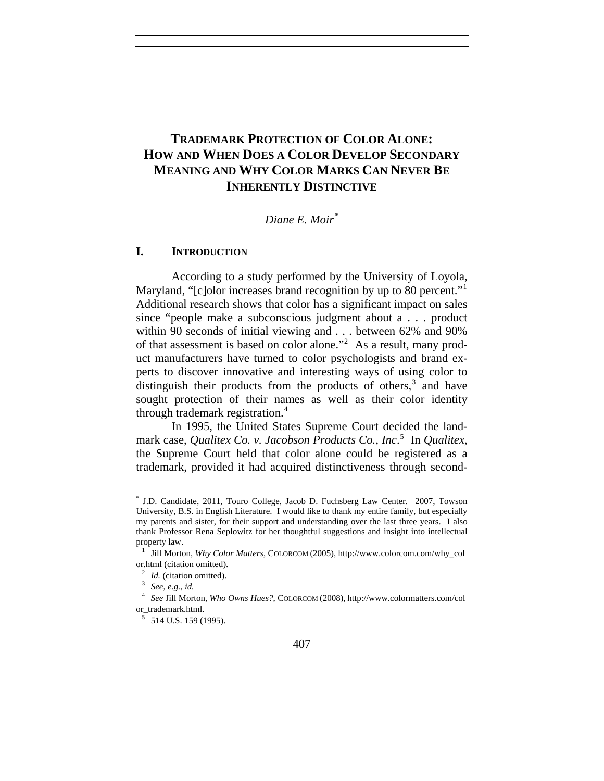# **TRADEMARK PROTECTION OF COLOR ALONE: HOW AND WHEN DOES A COLOR DEVELOP SECONDARY MEANING AND WHY COLOR MARKS CAN NEVER BE INHERENTLY DISTINCTIVE**

## *Diane E. Moir[\\*](#page-0-0)*

## **I. INTRODUCTION**

According to a study performed by the University of Loyola, Maryland, "[c]olor increases brand recognition by up to 80 percent."<sup>[1](#page-0-1)</sup> Additional research shows that color has a significant impact on sales since "people make a subconscious judgment about a . . . product within 90 seconds of initial viewing and . . . between 62% and 90% of that assessment is based on color alone."<sup>[2](#page-0-2)</sup> As a result, many product manufacturers have turned to color psychologists and brand experts to discover innovative and interesting ways of using color to distinguish their products from the products of others, $3$  and have sought protection of their names as well as their color identity through trademark registration.<sup>[4](#page-0-4)</sup>

In 1995, the United States Supreme Court decided the landmark case, *Qualitex Co. v. Jacobson Products Co., Inc*. [5](#page-0-5) In *Qualitex*, the Supreme Court held that color alone could be registered as a trademark, provided it had acquired distinctiveness through second-

<span id="page-0-0"></span><sup>\*</sup> J.D. Candidate, 2011, Touro College, Jacob D. Fuchsberg Law Center. 2007, Towson University, B.S. in English Literature. I would like to thank my entire family, but especially my parents and sister, for their support and understanding over the last three years. I also thank Professor Rena Seplowitz for her thoughtful suggestions and insight into intellectual property law.

<span id="page-0-1"></span><sup>1</sup> Jill Morton, *Why Color Matters*, COLORCOM (2005), http://www.colorcom.com/why\_col or.html (citation omitted).

<sup>2</sup> *Id.* (citation omitted). 3 *See, e.g.*, *id.*

<span id="page-0-5"></span><span id="page-0-4"></span><span id="page-0-3"></span><span id="page-0-2"></span><sup>4</sup> *See* Jill Morton, *Who Owns Hues?*, COLORCOM (2008), http://www.colormatters.com/col or\_trademark.html.

 $5$  514 U.S. 159 (1995).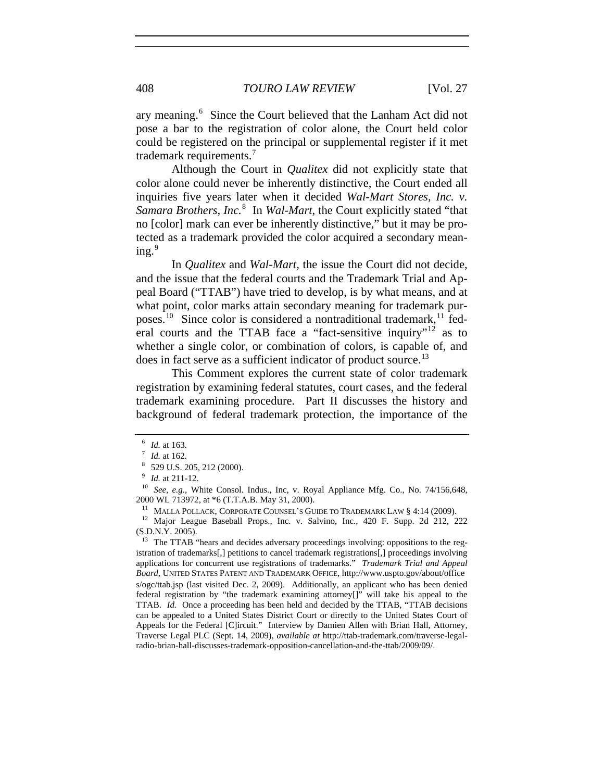ary meaning.<sup>[6](#page-1-0)</sup> Since the Court believed that the Lanham Act did not pose a bar to the registration of color alone, the Court held color could be registered on the principal or supplemental register if it met trademark requirements.[7](#page-1-1)

Although the Court in *Qualitex* did not explicitly state that color alone could never be inherently distinctive, the Court ended all inquiries five years later when it decided *Wal-Mart Stores, Inc. v.*  Samara Brothers, Inc.<sup>[8](#page-1-2)</sup> In *Wal-Mart*, the Court explicitly stated "that no [color] mark can ever be inherently distinctive," but it may be protected as a trademark provided the color acquired a secondary mean- $ing.<sup>9</sup>$  $ing.<sup>9</sup>$  $ing.<sup>9</sup>$ 

In *Qualitex* and *Wal-Mart*, the issue the Court did not decide, and the issue that the federal courts and the Trademark Trial and Appeal Board ("TTAB") have tried to develop, is by what means, and at what point, color marks attain secondary meaning for trademark pur-poses.<sup>[10](#page-1-4)</sup> Since color is considered a nontraditional trademark,<sup>[11](#page-1-5)</sup> fed-eral courts and the TTAB face a "fact-sensitive inquiry"<sup>[12](#page-1-6)</sup> as to whether a single color, or combination of colors, is capable of, and does in fact serve as a sufficient indicator of product source.<sup>[13](#page-1-7)</sup>

This Comment explores the current state of color trademark registration by examining federal statutes, court cases, and the federal trademark examining procedure. Part II discusses the history and background of federal trademark protection, the importance of the

<span id="page-1-3"></span>

<span id="page-1-2"></span><span id="page-1-1"></span><span id="page-1-0"></span><sup>&</sup>lt;sup>6</sup> *Id.* at 163.<br>
<sup>7</sup> *Id.* at 162.<br>
<sup>8</sup> 529 U.S. 205, 212 (2000).<br>
<sup>9</sup> *Id.* at 211-12.<br>
<sup>10</sup> *See, e.g.*, White Consol. Indus., Inc, v. Royal Appliance Mfg. Co., No. 74/156,648, 2000 WL 713972, at \*6 (T.T.A.B. May 31, 2000).<br><sup>11</sup> MALLA POLLACK, CORPORATE COUNSEL'S GUIDE TO TRADEMARK LAW § 4:14 (2009).<br><sup>12</sup> Major League Baseball Props., Inc. v. Salvino, Inc., 420 F. Supp. 2d 212, 222

<span id="page-1-6"></span><span id="page-1-5"></span><span id="page-1-4"></span><sup>(</sup>S.D.N.Y. 2005).

<span id="page-1-7"></span> $13$  The TTAB "hears and decides adversary proceedings involving: oppositions to the registration of trademarks[,] petitions to cancel trademark registrations[,] proceedings involving applications for concurrent use registrations of trademarks." *Trademark Trial and Appeal Board*, UNITED STATES PATENT AND TRADEMARK OFFICE, http://www.uspto.gov/about/office s/ogc/ttab.jsp (last visited Dec. 2, 2009). Additionally, an applicant who has been denied federal registration by "the trademark examining attorney[]" will take his appeal to the TTAB. *Id.* Once a proceeding has been held and decided by the TTAB, "TTAB decisions can be appealed to a United States District Court or directly to the United States Court of Appeals for the Federal [C]ircuit." Interview by Damien Allen with Brian Hall, Attorney, Traverse Legal PLC (Sept. 14, 2009), *available at* http://ttab-trademark.com/traverse-legalradio-brian-hall-discusses-trademark-opposition-cancellation-and-the-ttab/2009/09/.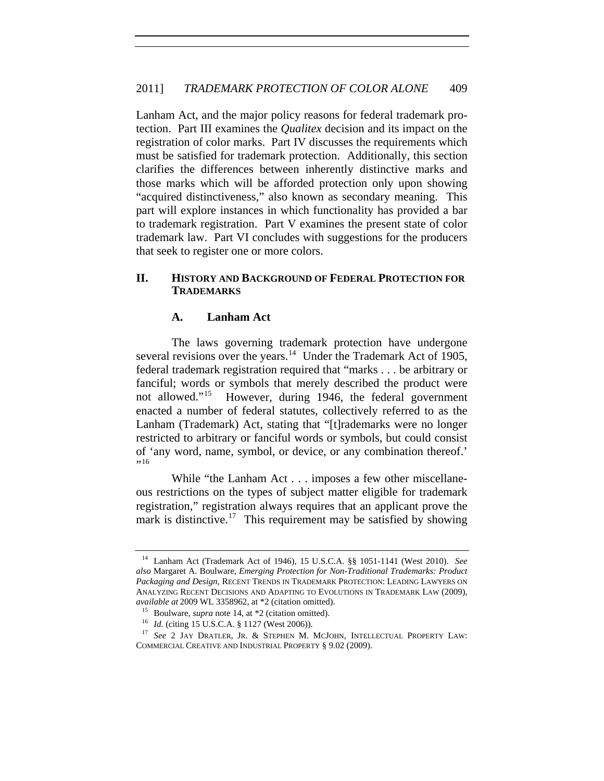Lanham Act, and the major policy reasons for federal trademark protection. Part III examines the *Qualitex* decision and its impact on the registration of color marks. Part IV discusses the requirements which must be satisfied for trademark protection. Additionally, this section clarifies the differences between inherently distinctive marks and those marks which will be afforded protection only upon showing "acquired distinctiveness," also known as secondary meaning. This part will explore instances in which functionality has provided a bar to trademark registration. Part V examines the present state of color trademark law. Part VI concludes with suggestions for the producers that seek to register one or more colors.

## **II. HISTORY AND BACKGROUND OF FEDERAL PROTECTION FOR TRADEMARKS**

## **A. Lanham Act**

The laws governing trademark protection have undergone several revisions over the years.<sup>[14](#page-2-0)</sup> Under the Trademark Act of 1905, federal trademark registration required that "marks . . . be arbitrary or fanciful; words or symbols that merely described the product were not allowed."<sup>[15](#page-2-1)</sup> However, during 1946, the federal government enacted a number of federal statutes, collectively referred to as the Lanham (Trademark) Act, stating that "[t]rademarks were no longer restricted to arbitrary or fanciful words or symbols, but could consist of 'any word, name, symbol, or device, or any combination thereof.'  $, 16$  $, 16$ 

While "the Lanham Act . . . imposes a few other miscellaneous restrictions on the types of subject matter eligible for trademark registration," registration always requires that an applicant prove the mark is distinctive.<sup>[17](#page-2-3)</sup> This requirement may be satisfied by showing

<span id="page-2-0"></span><sup>14</sup> Lanham Act (Trademark Act of 1946), 15 U.S.C.A. §§ 1051-1141 (West 2010). *See also* Margaret A. Boulware, *Emerging Protection for Non-Traditional Trademarks: Product Packaging and Design*, RECENT TRENDS IN TRADEMARK PROTECTION: LEADING LAWYERS ON ANALYZING RECENT DECISIONS AND ADAPTING TO EVOLUTIONS IN TRADEMARK LAW (2009), *available at* 2009 WL 3358962, at  $*2$  (citation omitted).<br><sup>15</sup> Boulware, *supra* note 14, at  $*2$  (citation omitted).<br><sup>16</sup> *Id.* (citing 15 U.S.C.A. § 1127 (West 2006)).<br><sup>17</sup> *See* 2 JAY DRATLER, JR. & STEPHEN M. MCJOHN

<span id="page-2-3"></span><span id="page-2-2"></span><span id="page-2-1"></span>COMMERCIAL CREATIVE AND INDUSTRIAL PROPERTY § 9.02 (2009).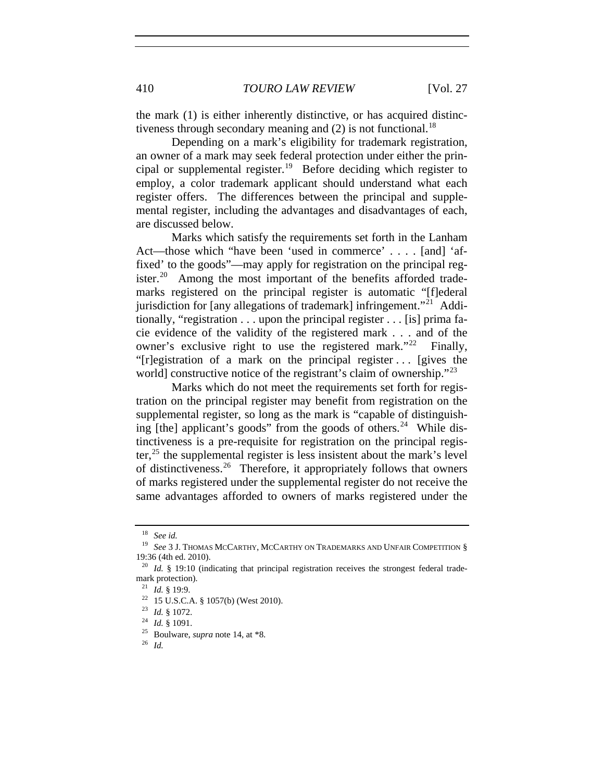the mark (1) is either inherently distinctive, or has acquired distinctiveness through secondary meaning and  $(2)$  is not functional.<sup>[18](#page-3-0)</sup>

Depending on a mark's eligibility for trademark registration, an owner of a mark may seek federal protection under either the prin-cipal or supplemental register.<sup>[19](#page-3-1)</sup> Before deciding which register to employ, a color trademark applicant should understand what each register offers. The differences between the principal and supplemental register, including the advantages and disadvantages of each, are discussed below.

Marks which satisfy the requirements set forth in the Lanham Act—those which "have been 'used in commerce' . . . . [and] 'affixed' to the goods"—may apply for registration on the principal reg-ister.<sup>[20](#page-3-2)</sup> Among the most important of the benefits afforded trademarks registered on the principal register is automatic "[f]ederal jurisdiction for [any allegations of trademark] infringement."[21](#page-3-3) Additionally, "registration . . . upon the principal register . . . [is] prima facie evidence of the validity of the registered mark . . . and of the owner's exclusive right to use the registered mark."<sup>[22](#page-3-4)</sup> Finally, "[r]egistration of a mark on the principal register . . . [gives the world] constructive notice of the registrant's claim of ownership."<sup>[23](#page-3-5)</sup>

Marks which do not meet the requirements set forth for registration on the principal register may benefit from registration on the supplemental register, so long as the mark is "capable of distinguishing [the] applicant's goods" from the goods of others. $24$  While distinctiveness is a pre-requisite for registration on the principal register, $^{25}$  $^{25}$  $^{25}$  the supplemental register is less insistent about the mark's level of distinctiveness.[26](#page-3-8) Therefore, it appropriately follows that owners of marks registered under the supplemental register do not receive the same advantages afforded to owners of marks registered under the

 $\frac{18}{19}$  *See id.* 

<span id="page-3-1"></span><span id="page-3-0"></span>See 3 J. THOMAS MCCARTHY, MCCARTHY ON TRADEMARKS AND UNFAIR COMPETITION § 19:36 (4th ed. 2010).

<span id="page-3-4"></span><span id="page-3-3"></span><span id="page-3-2"></span><sup>&</sup>lt;sup>20</sup> *Id.* § 19:10 (indicating that principal registration receives the strongest federal trademark protection).

<sup>21</sup> *Id.* § 19:9.<br>
<sup>22</sup> 15 U.S.C.A. § 1057(b) (West 2010).<br>
<sup>23</sup> *Id.* § 1072.<br>
<sup>25</sup> Boulware, *supra* note 14, at \*8.<br>
<sup>26</sup> *Id* 

<span id="page-3-5"></span>

<span id="page-3-8"></span><span id="page-3-7"></span><span id="page-3-6"></span>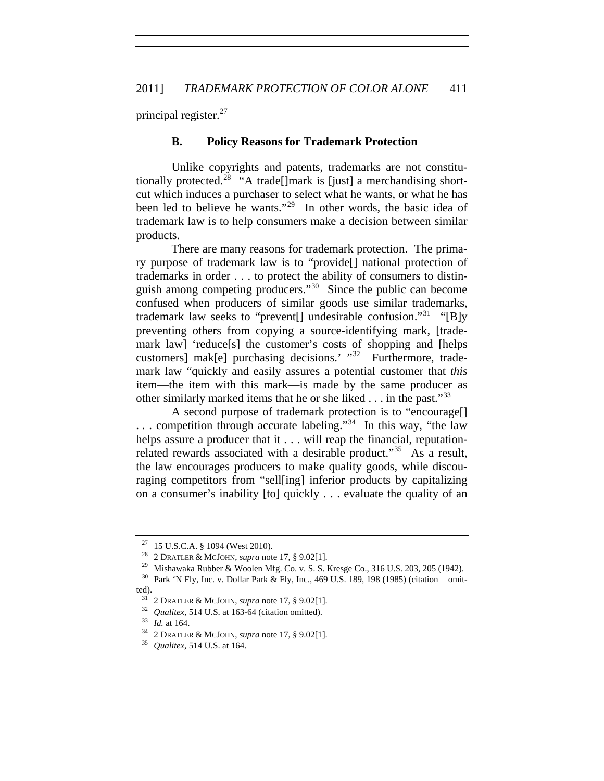principal register.<sup>[27](#page-4-0)</sup>

#### **B. Policy Reasons for Trademark Protection**

Unlike copyrights and patents, trademarks are not constitu-tionally protected.<sup>[28](#page-4-1)</sup> "A trade[]mark is [just] a merchandising shortcut which induces a purchaser to select what he wants, or what he has been led to believe he wants."<sup>[29](#page-4-2)</sup> In other words, the basic idea of trademark law is to help consumers make a decision between similar products.

There are many reasons for trademark protection. The primary purpose of trademark law is to "provide[] national protection of trademarks in order . . . to protect the ability of consumers to distinguish among competing producers."[30](#page-4-3) Since the public can become confused when producers of similar goods use similar trademarks, trademark law seeks to "prevent[] undesirable confusion."<sup>[31](#page-4-4)</sup> "[B]y preventing others from copying a source-identifying mark, [trademark law] 'reduce[s] the customer's costs of shopping and [helps] customers] mak[e] purchasing decisions.' "<sup>[32](#page-4-5)</sup> Furthermore, trademark law "quickly and easily assures a potential customer that *this* item—the item with this mark—is made by the same producer as other similarly marked items that he or she liked  $\dots$  in the past."<sup>[33](#page-4-6)</sup>

A second purpose of trademark protection is to "encourage[] ... competition through accurate labeling."<sup>[34](#page-4-7)</sup> In this way, "the law helps assure a producer that it . . . will reap the financial, reputation-related rewards associated with a desirable product."<sup>[35](#page-4-8)</sup> As a result, the law encourages producers to make quality goods, while discouraging competitors from "sell[ing] inferior products by capitalizing on a consumer's inability [to] quickly . . . evaluate the quality of an

<span id="page-4-0"></span>

<sup>&</sup>lt;sup>27</sup> 15 U.S.C.A. § 1094 (West 2010).<br><sup>28</sup> 2 DRATLER & MCJOHN, *supra* note 17, § 9.02[1].<br><sup>29</sup> Mishawaka Rubber & Woolen Mfg. Co. v. S. S. Kresge Co., 316 U.S. 203, 205 (1942).<br><sup>30</sup> Park 'N Fly, Inc. v. Dollar Park & Fly,

<span id="page-4-6"></span><span id="page-4-5"></span><span id="page-4-4"></span><span id="page-4-3"></span><span id="page-4-2"></span><span id="page-4-1"></span>ted).

<sup>&</sup>lt;sup>31</sup> 2 DRATLER & MCJOHN, *supra* note 17, § 9.02[1].<br><sup>32</sup> *Qualitex*, 514 U.S. at 163-64 (citation omitted).<br><sup>33</sup> *Id.* at 164.<br><sup>34</sup> 2 DRATLER & MCJOHN, *supra* note 17, § 9.02[1].<br><sup>35</sup> *Qualitex*, 514 U.S. at 164.

<span id="page-4-7"></span>

<span id="page-4-8"></span>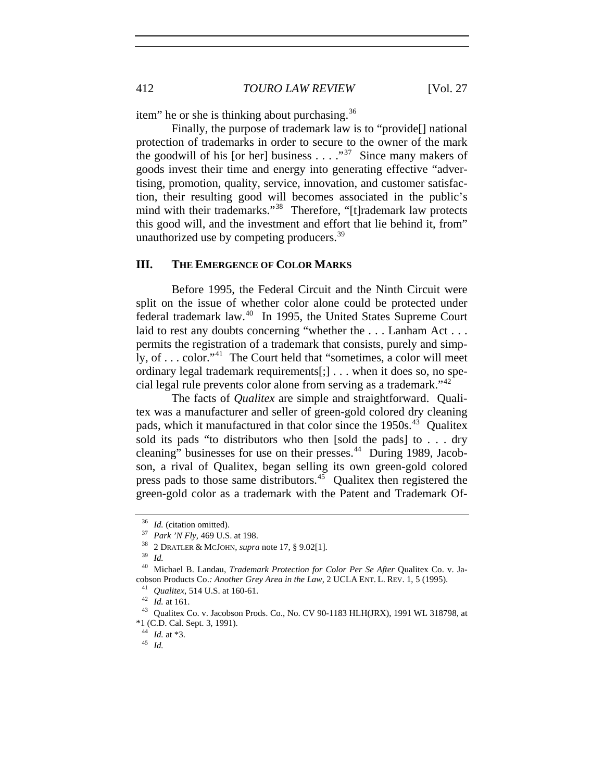item" he or she is thinking about purchasing.[36](#page-5-0)

Finally, the purpose of trademark law is to "provide[] national protection of trademarks in order to secure to the owner of the mark the goodwill of his [or her] business  $\ldots$  ."<sup>[37](#page-5-1)</sup> Since many makers of goods invest their time and energy into generating effective "advertising, promotion, quality, service, innovation, and customer satisfaction, their resulting good will becomes associated in the public's mind with their trademarks."<sup>[38](#page-5-2)</sup> Therefore, "[t]rademark law protects this good will, and the investment and effort that lie behind it, from" unauthorized use by competing producers.<sup>[39](#page-5-3)</sup>

#### **III. THE EMERGENCE OF COLOR MARKS**

Before 1995, the Federal Circuit and the Ninth Circuit were split on the issue of whether color alone could be protected under federal trademark law.[40](#page-5-4) In 1995, the United States Supreme Court laid to rest any doubts concerning "whether the ... Lanham Act ... permits the registration of a trademark that consists, purely and simply, of . . . color."[41](#page-5-5) The Court held that "sometimes, a color will meet ordinary legal trademark requirements[;] . . . when it does so, no special legal rule prevents color alone from serving as a trademark."[42](#page-5-6)

The facts of *Qualitex* are simple and straightforward. Qualitex was a manufacturer and seller of green-gold colored dry cleaning pads, which it manufactured in that color since the 1950s.<sup>[43](#page-5-7)</sup> Qualitex sold its pads "to distributors who then [sold the pads] to . . . dry cleaning" businesses for use on their presses.<sup>[44](#page-5-8)</sup> During 1989, Jacobson, a rival of Qualitex, began selling its own green-gold colored press pads to those same distributors.<sup> $45$ </sup> Qualitex then registered the green-gold color as a trademark with the Patent and Trademark Of-

<span id="page-5-0"></span><sup>36</sup> *Id.* (citation omitted). 37 *Park 'N Fly*, 469 U.S. at 198. 38 2 DRATLER & MCJOHN, *supra* note 17, § 9.02[1]. 39 *Id.*

<span id="page-5-5"></span><span id="page-5-4"></span><span id="page-5-3"></span><span id="page-5-2"></span><span id="page-5-1"></span><sup>40</sup> Michael B. Landau, *Trademark Protection for Color Per Se After* Qualitex Co. v. Jacobson Products Co.: Another Grey Area in the Law, 2 UCLA ENT. L. REV. 1, 5 (1995).<br>
<sup>41</sup> *Qualitex*, 514 U.S. at 160-61.<br>
<sup>42</sup> *Id.* at 161.<br>
<sup>43</sup> *Qualitex Co. v. Jacobson Prods. Co., No. CV 90-1183 HLH(JRX), 1991 WL 31* 

<span id="page-5-9"></span><span id="page-5-8"></span><span id="page-5-7"></span><span id="page-5-6"></span><sup>\*1 (</sup>C.D. Cal. Sept. 3, 1991).

<sup>44</sup> *Id.* at \*3. 45 *Id.*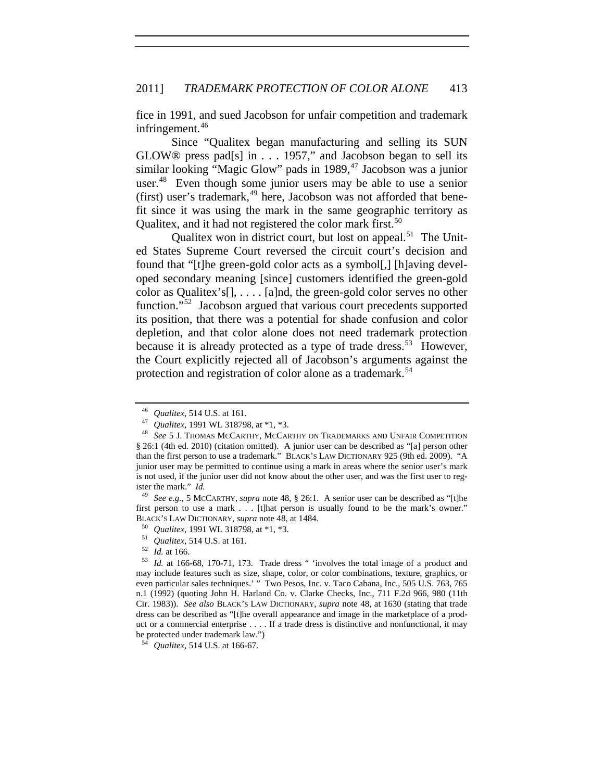fice in 1991, and sued Jacobson for unfair competition and trademark infringement. $46$ 

Qualitex, and it had not registered the color mark first.<sup>50</sup> Since "Qualitex began manufacturing and selling its SUN GLOW® press pad[s] in . . . 1957," and Jacobson began to sell its similar looking "Magic Glow" pads in 1989, $47$  Jacobson was a junior user.<sup>[48](#page-6-2)</sup> Even though some junior users may be able to use a senior (first) user's trademark, $49$  here, Jacobson was not afforded that benefit since it was using the mark in the same geographic territory as

Qualitex won in district court, but lost on appeal.<sup>[51](#page-6-4)</sup> The United States Supreme Court reversed the circuit court's decision and found that "[t]he green-gold color acts as a symbol[,] [h]aving developed secondary meaning [since] customers identified the green-gold color as Qualitex's[], . . . . [a]nd, the green-gold color serves no other function."[52](#page-6-5) Jacobson argued that various court precedents supported its position, that there was a potential for shade confusion and color depletion, and that color alone does not need trademark protection because it is already protected as a type of trade dress.<sup>[53](#page-6-6)</sup> However, the Court explicitly rejected all of Jacobson's arguments against the protection and registration of color alone as a trademark.<sup>[54](#page-6-7)</sup>

<span id="page-6-2"></span><span id="page-6-1"></span><span id="page-6-0"></span><sup>&</sup>lt;sup>46</sup> *Qualitex*, 514 U.S. at 161.<br><sup>47</sup> *Qualitex*, 1991 WL 318798, at \*1, \*3.<br><sup>48</sup> *See* 5 J. Thomas McCarthy, McCarthy on Trademarks and Unfair Competition § 26:1 (4th ed. 2010) (citation omitted). A junior user can be described as "[a] person other than the first person to use a trademark." BLACK'S LAW DICTIONARY 925 (9th ed. 2009). "A junior user may be permitted to continue using a mark in areas where the senior user's mark is not used, if the junior user did not know about the other user, and was the first user to register the mark." *Id.*

<span id="page-6-3"></span><sup>49</sup> *See e.g.*, 5 MCCARTHY, *supra* note 48, § 26:1. A senior user can be described as "[t]he first person to use a mark . . . [t]hat person is usually found to be the mark's owner." BLACK's LAW DICTIONARY, *supra* note 48, at 1484.<br>
<sup>50</sup> *Qualitex*, 1991 WL 318798, at \*1, \*3.<br>
<sup>51</sup> *Qualitex*, 514 U.S. at 161.<br>
<sup>52</sup> *Id.* at 166.<br>
<sup>53</sup> *Id.* at 166-68, 170-71, 173. Trade dress " 'involves the total i

<span id="page-6-6"></span><span id="page-6-5"></span><span id="page-6-4"></span>may include features such as size, shape, color, or color combinations, texture, graphics, or even particular sales techniques.' " Two Pesos, Inc. v. Taco Cabana, Inc., 505 U.S. 763, 765 n.1 (1992) (quoting John H. Harland Co. v. Clarke Checks, Inc., 711 F.2d 966, 980 (11th Cir. 1983)). *See also* BLACK'S LAW DICTIONARY, *supra* note 48, at 1630 (stating that trade dress can be described as "[t]he overall appearance and image in the marketplace of a product or a commercial enterprise . . . . If a trade dress is distinctive and nonfunctional, it may be protected under trademark law.")

<span id="page-6-7"></span><sup>54</sup> *Qualitex*, 514 U.S. at 166-67.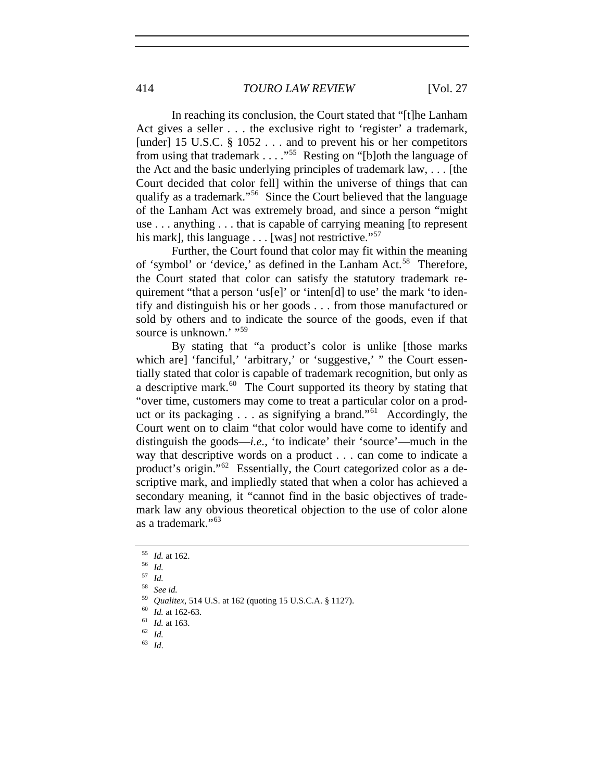In reaching its conclusion, the Court stated that "[t]he Lanham Act gives a seller . . . the exclusive right to 'register' a trademark, [under] 15 U.S.C. § 1052 . . . and to prevent his or her competitors from using that trademark . . . . "<sup>[55](#page-7-0)</sup> Resting on "[b]oth the language of the Act and the basic underlying principles of trademark law, . . . [the Court decided that color fell] within the universe of things that can qualify as a trademark."[56](#page-7-1) Since the Court believed that the language of the Lanham Act was extremely broad, and since a person "might use . . . anything . . . that is capable of carrying meaning [to represent his mark], this language  $\dots$  [was] not restrictive."<sup>[57](#page-7-2)</sup>

Further, the Court found that color may fit within the meaning of 'symbol' or 'device,' as defined in the Lanham Act.<sup>[58](#page-7-3)</sup> Therefore, the Court stated that color can satisfy the statutory trademark requirement "that a person 'us[e]' or 'inten[d] to use' the mark 'to identify and distinguish his or her goods . . . from those manufactured or sold by others and to indicate the source of the goods, even if that source is unknown.'"<sup>[59](#page-7-4)</sup>

By stating that "a product's color is unlike [those marks which are] 'fanciful,' 'arbitrary,' or 'suggestive,' " the Court essentially stated that color is capable of trademark recognition, but only as a descriptive mark. $60$  The Court supported its theory by stating that "over time, customers may come to treat a particular color on a product or its packaging  $\ldots$  as signifying a brand."<sup>[61](#page-7-6)</sup> Accordingly, the Court went on to claim "that color would have come to identify and distinguish the goods—*i.e.*, 'to indicate' their 'source'—much in the way that descriptive words on a product . . . can come to indicate a product's origin."[62](#page-7-7) Essentially, the Court categorized color as a descriptive mark, and impliedly stated that when a color has achieved a secondary meaning, it "cannot find in the basic objectives of trademark law any obvious theoretical objection to the use of color alone as a trademark."[63](#page-7-8)

<span id="page-7-0"></span><sup>55</sup> *Id.* at 162. 56 *Id.*

<span id="page-7-2"></span><span id="page-7-1"></span><sup>57</sup> *Id.*

<span id="page-7-3"></span><sup>58</sup> *See id.*

<span id="page-7-5"></span><span id="page-7-4"></span><sup>59</sup> *Qualitex*, 514 U.S. at 162 (quoting 15 U.S.C.A. § 1127). 60 *Id.* at 162-63. 61 *Id.* at 163. 62 *Id.*<sup>63</sup> *Id*.

<span id="page-7-7"></span><span id="page-7-6"></span>

<span id="page-7-8"></span>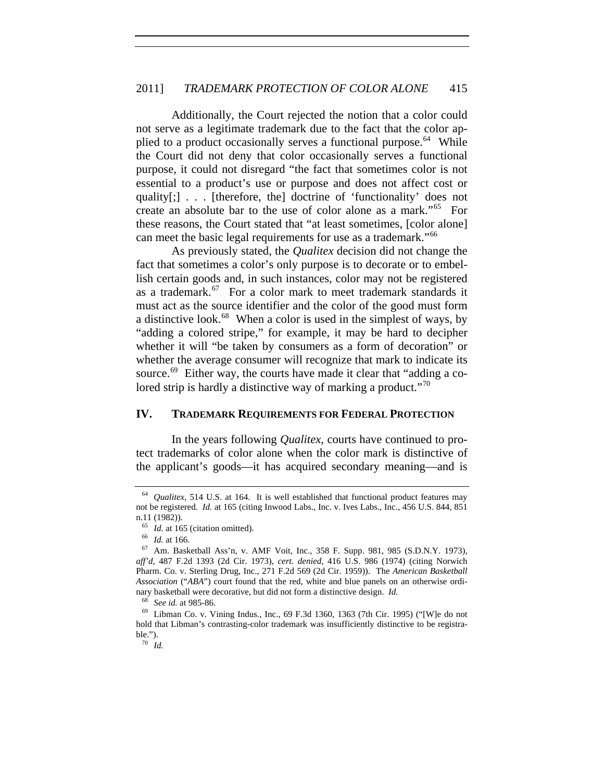Additionally, the Court rejected the notion that a color could not serve as a legitimate trademark due to the fact that the color ap-plied to a product occasionally serves a functional purpose.<sup>[64](#page-8-0)</sup> While the Court did not deny that color occasionally serves a functional purpose, it could not disregard "the fact that sometimes color is not essential to a product's use or purpose and does not affect cost or quality[;] . . . [therefore, the] doctrine of 'functionality' does not create an absolute bar to the use of color alone as a mark."[65](#page-8-1) For these reasons, the Court stated that "at least sometimes, [color alone] can meet the basic legal requirements for use as a trademark."<sup>[66](#page-8-2)</sup>

As previously stated, the *Qualitex* decision did not change the fact that sometimes a color's only purpose is to decorate or to embellish certain goods and, in such instances, color may not be registered as a trademark.[67](#page-8-3) For a color mark to meet trademark standards it must act as the source identifier and the color of the good must form a distinctive look.<sup>[68](#page-8-4)</sup> When a color is used in the simplest of ways, by "adding a colored stripe," for example, it may be hard to decipher whether it will "be taken by consumers as a form of decoration" or whether the average consumer will recognize that mark to indicate its source.<sup>[69](#page-8-5)</sup> Either way, the courts have made it clear that "adding a co-lored strip is hardly a distinctive way of marking a product."<sup>[70](#page-8-6)</sup>

## **IV. TRADEMARK REQUIREMENTS FOR FEDERAL PROTECTION**

In the years following *Qualitex*, courts have continued to protect trademarks of color alone when the color mark is distinctive of the applicant's goods—it has acquired secondary meaning—and is

<span id="page-8-0"></span>*Qualitex*, 514 U.S. at 164. It is well established that functional product features may not be registered. *Id.* at 165 (citing Inwood Labs., Inc. v. Ives Labs., Inc., 456 U.S. 844, 851 n.11 (1982)).<br> $^{65}$  *Id.* at 165 (citation omitted).

<span id="page-8-3"></span><span id="page-8-2"></span><span id="page-8-1"></span><sup>&</sup>lt;sup>66</sup> *Id.* at 166. *Id.* at 166. **67** Am. Basketball Ass'n, v. AMF Voit, Inc., 358 F. Supp. 981, 985 (S.D.N.Y. 1973), *aff'd*, 487 F.2d 1393 (2d Cir. 1973), *cert. denied*, 416 U.S. 986 (1974) (citing Norwich Pharm. Co. v. Sterling Drug, Inc., 271 F.2d 569 (2d Cir. 1959)). The *American Basketball Association* ("*ABA*") court found that the red, white and blue panels on an otherwise ordinary basketball were decorative, but did not form a distinctive design. *Id.*

<span id="page-8-6"></span><span id="page-8-5"></span><span id="page-8-4"></span><sup>&</sup>lt;sup>69</sup> Libman Co. v. Vining Indus., Inc., 69 F.3d 1360, 1363 (7th Cir. 1995) ("[W]e do not hold that Libman's contrasting-color trademark was insufficiently distinctive to be registrable.").

<sup>70</sup> *Id.*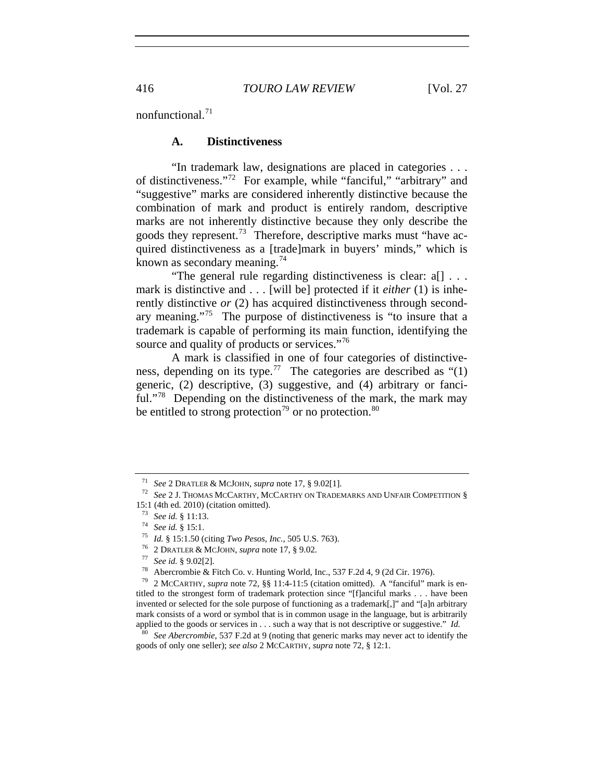nonfunctional.<sup>[71](#page-9-0)</sup>

#### **A. Distinctiveness**

"In trademark law, designations are placed in categories . . . of distinctiveness."[72](#page-9-1) For example, while "fanciful," "arbitrary" and "suggestive" marks are considered inherently distinctive because the combination of mark and product is entirely random, descriptive marks are not inherently distinctive because they only describe the goods they represent.[73](#page-9-2) Therefore, descriptive marks must "have acquired distinctiveness as a [trade]mark in buyers' minds," which is known as secondary meaning.<sup>[74](#page-9-3)</sup>

"The general rule regarding distinctiveness is clear: a[] . . . mark is distinctive and . . . [will be] protected if it *either* (1) is inherently distinctive *or* (2) has acquired distinctiveness through secondary meaning."[75](#page-9-4) The purpose of distinctiveness is "to insure that a trademark is capable of performing its main function, identifying the source and quality of products or services."<sup>[76](#page-9-5)</sup>

A mark is classified in one of four categories of distinctive-ness, depending on its type.<sup>[77](#page-9-6)</sup> The categories are described as " $(1)$ " generic, (2) descriptive, (3) suggestive, and (4) arbitrary or fanci-ful."<sup>[78](#page-9-7)</sup> Depending on the distinctiveness of the mark, the mark may be entitled to strong protection<sup>[79](#page-9-8)</sup> or no protection.<sup>[80](#page-9-9)</sup>

<span id="page-9-6"></span>

<span id="page-9-0"></span><sup>71</sup> *See* 2 DRATLER & MCJOHN, *supra* note 17, § 9.02[1]. 72 *See* 2 J. THOMAS MCCARTHY, MCCARTHY ON TRADEMARKS AND UNFAIR COMPETITION § 15:1 (4th ed. 2010) (citation omitted).

<span id="page-9-8"></span><span id="page-9-7"></span>

<span id="page-9-5"></span><span id="page-9-4"></span><span id="page-9-3"></span><span id="page-9-2"></span><span id="page-9-1"></span><sup>&</sup>lt;sup>73</sup> See id. § 11:13.<br><sup>74</sup> See id. § 15:1.<br><sup>75</sup> Id. § 15:1.50 (citing *Two Pesos, Inc.*, 505 U.S. 763).<br><sup>76</sup> 2 DRATLER & MCJOHN, *supra* note 17, § 9.02.<br><sup>77</sup> See id. § 9.02[2].<br><sup>78</sup> Abercrombie & Fitch Co. v. Hunting Wor titled to the strongest form of trademark protection since "[f]anciful marks . . . have been invented or selected for the sole purpose of functioning as a trademark[,]" and "[a]n arbitrary mark consists of a word or symbol that is in common usage in the language, but is arbitrarily applied to the goods or services in . . . such a way that is not descriptive or suggestive." *Id.*

<span id="page-9-9"></span><sup>80</sup> *See Abercrombie*, 537 F.2d at 9 (noting that generic marks may never act to identify the goods of only one seller); *see also* 2 MCCARTHY, *supra* note 72, § 12:1.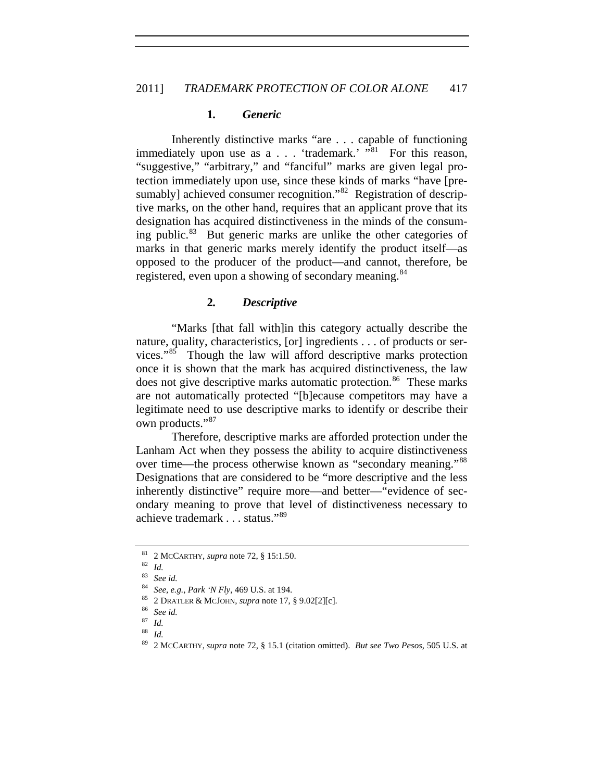#### **1***. Generic*

registered, even upon a showing of secondary meaning.<sup>84</sup> Inherently distinctive marks "are . . . capable of functioning immediately upon use as a . . . 'trademark.' "[81](#page-10-0) For this reason. "suggestive," "arbitrary," and "fanciful" marks are given legal protection immediately upon use, since these kinds of marks "have [pre-sumably] achieved consumer recognition."<sup>[82](#page-10-1)</sup> Registration of descriptive marks, on the other hand, requires that an applicant prove that its designation has acquired distinctiveness in the minds of the consuming public. $83$  But generic marks are unlike the other categories of marks in that generic marks merely identify the product itself—as opposed to the producer of the product—and cannot, therefore, be

#### **2***. Descriptive*

"Marks [that fall with]in this category actually describe the nature, quality, characteristics, [or] ingredients . . . of products or services."[85](#page-10-3) Though the law will afford descriptive marks protection once it is shown that the mark has acquired distinctiveness, the law does not give descriptive marks automatic protection.<sup>[86](#page-10-4)</sup> These marks are not automatically protected "[b]ecause competitors may have a legitimate need to use descriptive marks to identify or describe their own products."<sup>[87](#page-10-5)</sup>

Therefore, descriptive marks are afforded protection under the Lanham Act when they possess the ability to acquire distinctiveness over time—the process otherwise known as "secondary meaning."[88](#page-10-6) Designations that are considered to be "more descriptive and the less inherently distinctive" require more—and better—"evidence of secondary meaning to prove that level of distinctiveness necessary to achieve trademark . . . status."[89](#page-10-7)

<span id="page-10-0"></span><sup>81</sup> 2 MCCARTHY, *supra* note 72, § 15:1.50. 82 *Id.*

<span id="page-10-2"></span><span id="page-10-1"></span>

<sup>83</sup> *See id.*<sup>84</sup> *See, e.g.*, *Park 'N Fly*, 469 U.S. at 194. 85 2 DRATLER & MCJOHN, *supra* note 17, § 9.02[2][c]. 86 *See id.*

<span id="page-10-6"></span><span id="page-10-5"></span><span id="page-10-4"></span><span id="page-10-3"></span><sup>87</sup> *Id.*

<span id="page-10-7"></span><sup>88</sup> *Id.*

<sup>89</sup> 2 MCCARTHY, *supra* note 72, § 15.1 (citation omitted). *But see Two Pesos*, 505 U.S. at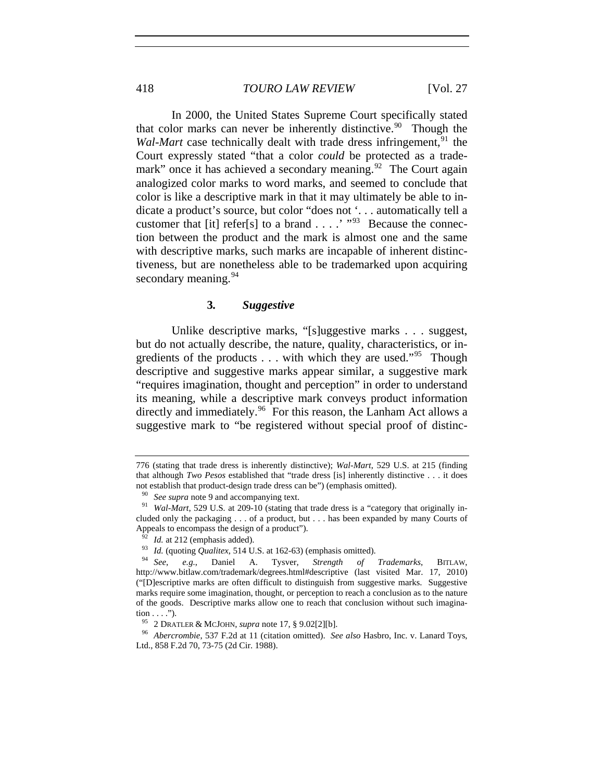In 2000, the United States Supreme Court specifically stated that color marks can never be inherently distinctive.<sup>[90](#page-11-0)</sup> Though the *Wal-Mart* case technically dealt with trade dress infringement,<sup>[91](#page-11-1)</sup> the Court expressly stated "that a color *could* be protected as a trade-mark" once it has achieved a secondary meaning.<sup>[92](#page-11-2)</sup> The Court again analogized color marks to word marks, and seemed to conclude that color is like a descriptive mark in that it may ultimately be able to indicate a product's source, but color "does not '. . . automatically tell a customer that [it] refer[s] to a brand  $\dots$  .'  $\cdot$  "[93](#page-11-3) Because the connection between the product and the mark is almost one and the same with descriptive marks, such marks are incapable of inherent distinctiveness, but are nonetheless able to be trademarked upon acquiring secondary meaning.  $94$ 

## **3***. Suggestive*

Unlike descriptive marks, "[s]uggestive marks . . . suggest, but do not actually describe, the nature, quality, characteristics, or ingredients of the products  $\dots$  with which they are used."<sup>[95](#page-11-4)</sup> Though descriptive and suggestive marks appear similar, a suggestive mark "requires imagination, thought and perception" in order to understand its meaning, while a descriptive mark conveys product information directly and immediately.<sup>[96](#page-11-5)</sup> For this reason, the Lanham Act allows a suggestive mark to "be registered without special proof of distinc-

<sup>776 (</sup>stating that trade dress is inherently distinctive); *Wal-Mart*, 529 U.S. at 215 (finding that although *Two Pesos* established that "trade dress [is] inherently distinctive . . . it does not establish that product-design trade dress can be") (emphasis omitted).

<span id="page-11-1"></span><span id="page-11-0"></span><sup>90</sup> *See supra* note 9 and accompanying text. 91 *Wal-Mart*, 529 U.S*.* at 209-10 (stating that trade dress is a "category that originally included only the packaging . . . of a product, but . . . has been expanded by many Courts of Appeals to encompass the design of a product").

<span id="page-11-3"></span><span id="page-11-2"></span><sup>92</sup> *Id.* at 212 (emphasis added). 93 *Id.* (quoting *Qualitex*, 514 U.S. at 162-63) (emphasis omitted). 94 *See*, *e.g.*, Daniel A. Tysver, *Strength of Trademarks*, BITLAW, http://www.bitlaw.com/trademark/degrees.html#descriptive (last visited Mar. 17, 2010) ("[D]escriptive marks are often difficult to distinguish from suggestive marks. Suggestive marks require some imagination, thought, or perception to reach a conclusion as to the nature of the goods. Descriptive marks allow one to reach that conclusion without such imagination . . . .").<br><sup>95</sup> 2 DRATLER & MCJOHN, *supra* note 17, § 9.02[2][b].

<span id="page-11-5"></span><span id="page-11-4"></span><sup>&</sup>lt;sup>96</sup> Abercrombie, 537 F.2d at 11 (citation omitted). *See also* Hasbro, Inc. v. Lanard Toys, Ltd., 858 F.2d 70, 73-75 (2d Cir. 1988).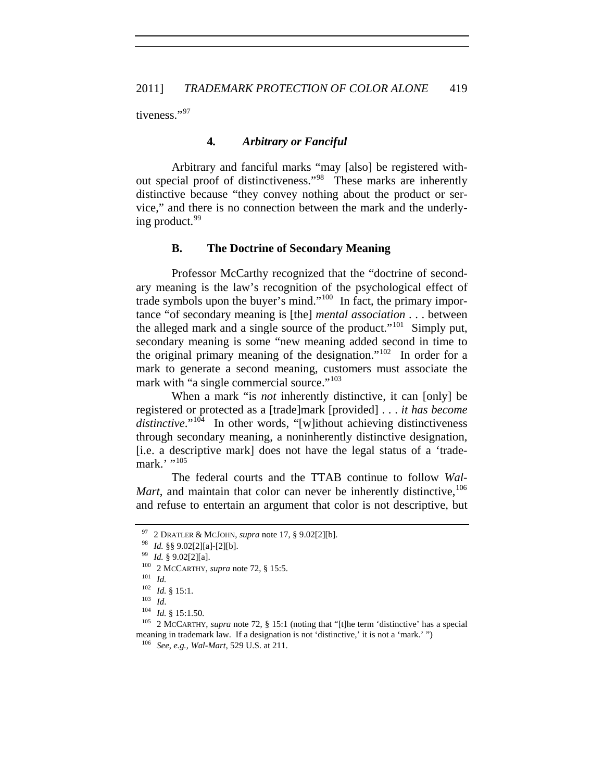tiveness."[97](#page-12-0)

# **4***. Arbitrary or Fanciful*

Arbitrary and fanciful marks "may [also] be registered without special proof of distinctiveness."[98](#page-12-1) These marks are inherently distinctive because "they convey nothing about the product or service," and there is no connection between the mark and the underly-ing product.<sup>[99](#page-12-2)</sup>

## **B. The Doctrine of Secondary Meaning**

Professor McCarthy recognized that the "doctrine of secondary meaning is the law's recognition of the psychological effect of trade symbols upon the buyer's mind."[100](#page-12-3) In fact, the primary importance "of secondary meaning is [the] *mental association* . . . between the alleged mark and a single source of the product."<sup>[101](#page-12-4)</sup> Simply put, secondary meaning is some "new meaning added second in time to the original primary meaning of the designation."<sup>[102](#page-12-5)</sup> In order for a mark to generate a second meaning, customers must associate the mark with "a single commercial source."<sup>[103](#page-12-6)</sup>

When a mark "is *not* inherently distinctive, it can [only] be registered or protected as a [trade]mark [provided] . . . *it has become*  distinctive."<sup>[104](#page-12-7)</sup> In other words, "[w]ithout achieving distinctiveness through secondary meaning, a noninherently distinctive designation, [i.e. a descriptive mark] does not have the legal status of a 'trademark.' $"$ <sup>[105](#page-12-8)</sup>

The federal courts and the TTAB continue to follow *Wal-Mart*, and maintain that color can never be inherently distinctive, <sup>[106](#page-12-9)</sup> and refuse to entertain an argument that color is not descriptive, but

<span id="page-12-0"></span><sup>97 2</sup> DRATLER & MCJOHN, *supra* note 17, § 9.02[2][b].<br>
98 *Id.* §§ 9.02[2][a]-[2][b].<br>
99 *Id.* § 9.02[2][a].<br>
100 2 MCCARTHY, *supra* note 72, § 15:5.<br>
101 *Id.*<br>
102 *Id.* § 15:1.

<span id="page-12-1"></span>

<span id="page-12-8"></span><span id="page-12-7"></span><span id="page-12-6"></span><span id="page-12-5"></span><span id="page-12-4"></span><span id="page-12-3"></span><span id="page-12-2"></span><sup>102</sup> *Id.* § 15:1.<br>
103 *Id.*<br>
104 *Id.* § 15:1.50.<br>
<sup>105</sup> 2 McCARTHY, *supra* note 72, § 15:1 (noting that "[t]he term 'distinctive' has a special meaning in trademark law. If a designation is not 'distinctive,' it is not a 'mark.' ") 106 *See*, *e.g.*, *Wal-Mart*, 529 U.S. at 211.

<span id="page-12-9"></span>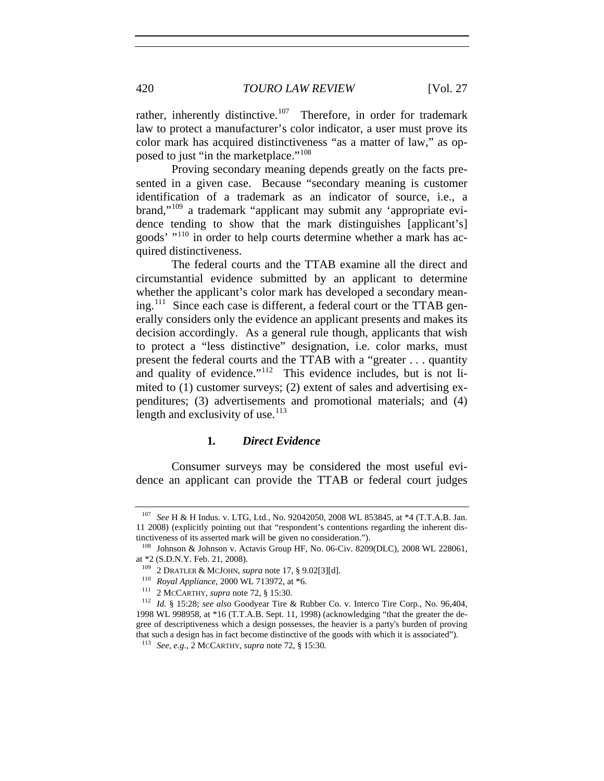posed to just "in the marketplace."<sup>108</sup> rather, inherently distinctive.<sup>[107](#page-13-0)</sup> Therefore, in order for trademark law to protect a manufacturer's color indicator, a user must prove its color mark has acquired distinctiveness "as a matter of law," as op-

Proving secondary meaning depends greatly on the facts presented in a given case. Because "secondary meaning is customer identification of a trademark as an indicator of source, i.e., a brand,"[109](#page-13-1) a trademark "applicant may submit any 'appropriate evidence tending to show that the mark distinguishes [applicant's] goods' "[110](#page-13-2) in order to help courts determine whether a mark has acquired distinctiveness.

length and exclusivity of use. $113$ The federal courts and the TTAB examine all the direct and circumstantial evidence submitted by an applicant to determine whether the applicant's color mark has developed a secondary meaning.[111](#page-13-3) Since each case is different, a federal court or the TTAB generally considers only the evidence an applicant presents and makes its decision accordingly. As a general rule though, applicants that wish to protect a "less distinctive" designation, i.e. color marks, must present the federal courts and the TTAB with a "greater . . . quantity and quality of evidence."<sup>[112](#page-13-4)</sup> This evidence includes, but is not limited to (1) customer surveys; (2) extent of sales and advertising expenditures; (3) advertisements and promotional materials; and (4)

## **1***. Direct Evidence*

Consumer surveys may be considered the most useful evidence an applicant can provide the TTAB or federal court judges

<span id="page-13-0"></span>See H & H Indus. v. LTG, Ltd., No. 92042050, 2008 WL 853845, at \*4 (T.T.A.B. Jan. 11 2008) (explicitly pointing out that "respondent's contentions regarding the inherent distinctiveness of its asserted mark will be given no consideration.").

<sup>108</sup> Johnson & Johnson v. Actavis Group HF, No. 06-Civ. 8209(DLC), 2008 WL 228061, at \*2 (S.D.N.Y. Feb. 21, 2008).<br><sup>109</sup> 2 DRATLER & MCJOHN, *supra* note 17, § 9.02[3][d].

<span id="page-13-4"></span><span id="page-13-3"></span><span id="page-13-2"></span><span id="page-13-1"></span><sup>&</sup>lt;sup>110</sup> Royal Appliance, 2000 WL 713972, at \*6.<br><sup>111</sup> 2 McCARTHY, *supra* note 72, § 15:30.<br><sup>112</sup> Id. § 15:28; *see also* Goodyear Tire & Rubber Co. v. Interco Tire Corp., No. 96,404, 1998 WL 998958, at \*16 (T.T.A.B. Sept. 11, 1998) (acknowledging "that the greater the degree of descriptiveness which a design possesses, the heavier is a party's burden of proving that such a design has in fact become distinctive of the goods with which it is associated"). 113 *See, e.g.*, 2 MCCARTHY, *supra* note 72, § 15:30*.*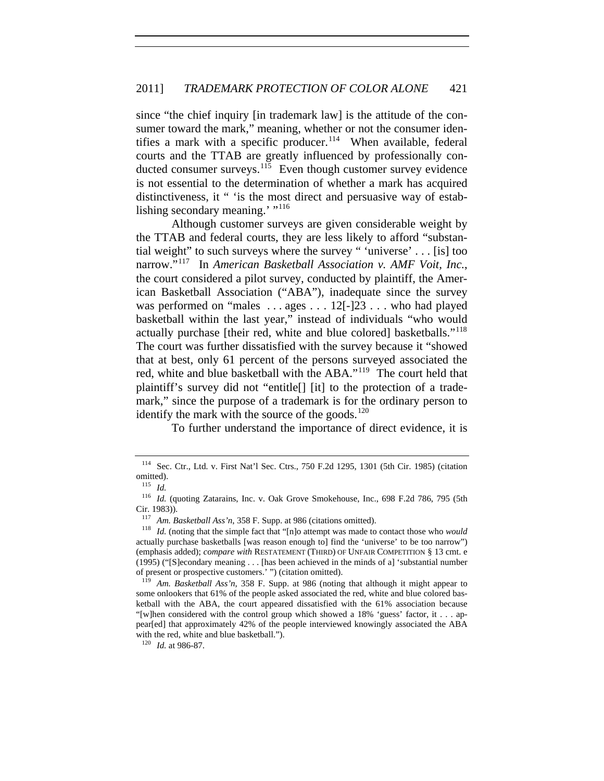since "the chief inquiry [in trademark law] is the attitude of the consumer toward the mark," meaning, whether or not the consumer iden-tifies a mark with a specific producer.<sup>[114](#page-14-0)</sup> When available, federal courts and the TTAB are greatly influenced by professionally con-ducted consumer surveys.<sup>[115](#page-14-1)</sup> Even though customer survey evidence is not essential to the determination of whether a mark has acquired distinctiveness, it " 'is the most direct and persuasive way of estab-lishing secondary meaning.' "<sup>[116](#page-14-2)</sup>

Although customer surveys are given considerable weight by the TTAB and federal courts, they are less likely to afford "substantial weight" to such surveys where the survey " 'universe' . . . [is] too narrow."[117](#page-14-3) In *American Basketball Association v. AMF Voit, Inc.*, the court considered a pilot survey, conducted by plaintiff, the American Basketball Association ("ABA"), inadequate since the survey was performed on "males ... ages ... 12<sup>[-1]</sup>23 ... who had played basketball within the last year," instead of individuals "who would actually purchase [their red, white and blue colored] basketballs."[118](#page-14-4) The court was further dissatisfied with the survey because it "showed that at best, only 61 percent of the persons surveyed associated the red, white and blue basketball with the ABA."<sup>[119](#page-14-5)</sup> The court held that plaintiff's survey did not "entitle[] [it] to the protection of a trademark," since the purpose of a trademark is for the ordinary person to identify the mark with the source of the goods. $120$ 

To further understand the importance of direct evidence, it is

<span id="page-14-0"></span><sup>114</sup> Sec. Ctr., Ltd. v. First Nat'l Sec. Ctrs., 750 F.2d 1295, 1301 (5th Cir. 1985) (citation omitted).<br> $\frac{115}{14}$ 

*Id.* 

<span id="page-14-2"></span><span id="page-14-1"></span><sup>116</sup> *Id.* (quoting Zatarains, Inc. v. Oak Grove Smokehouse, Inc., 698 F.2d 786, 795 (5th Cir. 1983)).

<span id="page-14-4"></span><span id="page-14-3"></span><sup>117</sup> *Am. Basketball Ass'n*, 358 F. Supp. at 986 (citations omitted). 118 *Id.* (noting that the simple fact that "[n]o attempt was made to contact those who *would* actually purchase basketballs [was reason enough to] find the 'universe' to be too narrow") (emphasis added); *compare with* RESTATEMENT (THIRD) OF UNFAIR COMPETITION § 13 cmt. e (1995) ("[S]econdary meaning . . . [has been achieved in the minds of a] 'substantial number of present or prospective customers.' ") (citation omitted).

<span id="page-14-5"></span><sup>119</sup> *Am. Basketball Ass'n*, 358 F. Supp. at 986 (noting that although it might appear to some onlookers that 61% of the people asked associated the red, white and blue colored basketball with the ABA, the court appeared dissatisfied with the 61% association because "[w]hen considered with the control group which showed a 18% 'guess' factor, it . . . appear[ed] that approximately 42% of the people interviewed knowingly associated the ABA with the red, white and blue basketball.").

<span id="page-14-6"></span><sup>120</sup> *Id.* at 986-87.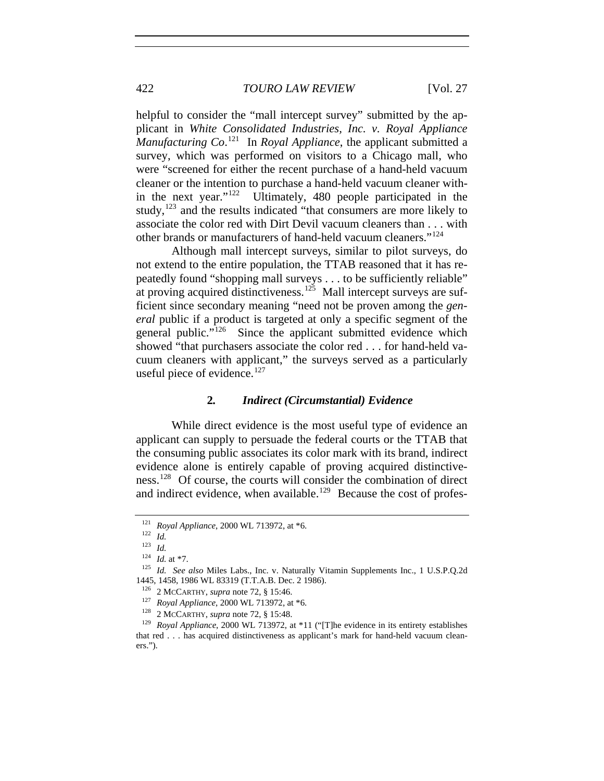helpful to consider the "mall intercept survey" submitted by the applicant in *White Consolidated Industries, Inc. v. Royal Appliance Manufacturing Co*. [121](#page-15-0) In *Royal Appliance*, the applicant submitted a survey, which was performed on visitors to a Chicago mall, who were "screened for either the recent purchase of a hand-held vacuum cleaner or the intention to purchase a hand-held vacuum cleaner within the next year."[122](#page-15-1) Ultimately, 480 people participated in the study, $123$  and the results indicated "that consumers are more likely to associate the color red with Dirt Devil vacuum cleaners than . . . with other brands or manufacturers of hand-held vacuum cleaners."[124](#page-15-3)

Although mall intercept surveys, similar to pilot surveys, do not extend to the entire population, the TTAB reasoned that it has repeatedly found "shopping mall surveys . . . to be sufficiently reliable" at proving acquired distinctiveness.<sup>[125](#page-15-4)</sup> Mall intercept surveys are sufficient since secondary meaning "need not be proven among the *general* public if a product is targeted at only a specific segment of the general public."<sup>[126](#page-15-5)</sup> Since the applicant submitted evidence which showed "that purchasers associate the color red . . . for hand-held vacuum cleaners with applicant," the surveys served as a particularly useful piece of evidence. $127$ 

## **2***. Indirect (Circumstantial) Evidence*

While direct evidence is the most useful type of evidence an applicant can supply to persuade the federal courts or the TTAB that the consuming public associates its color mark with its brand, indirect evidence alone is entirely capable of proving acquired distinctiveness.[128](#page-15-7) Of course, the courts will consider the combination of direct and indirect evidence, when available.<sup>[129](#page-15-8)</sup> Because the cost of profes-

<span id="page-15-0"></span><sup>121</sup> *Royal Appliance*, 2000 WL 713972, at \*6. 122 *Id.*

 $\frac{123}{124}$  *Id.* at \*7.

<span id="page-15-4"></span><span id="page-15-3"></span><span id="page-15-2"></span><span id="page-15-1"></span><sup>&</sup>lt;sup>125</sup> *Id. See also* Miles Labs., Inc. v. Naturally Vitamin Supplements Inc., 1 U.S.P.Q.2d 1445, 1458, 1986 WL 83319 (T.T.A.B. Dec. 2 1986).

<span id="page-15-8"></span><span id="page-15-7"></span><span id="page-15-6"></span><span id="page-15-5"></span><sup>&</sup>lt;sup>126</sup> 2 McCARTHY, *supra* note 72, § 15:46.<br><sup>127</sup> *Royal Appliance*, 2000 WL 713972, at \*6.<br><sup>128</sup> 2 McCARTHY, *supra* note 72, § 15:48.<br><sup>129</sup> *Royal Appliance*, 2000 WL 713972, at \*11 ("[T]he evidence in its entirety esta that red . . . has acquired distinctiveness as applicant's mark for hand-held vacuum cleaners.").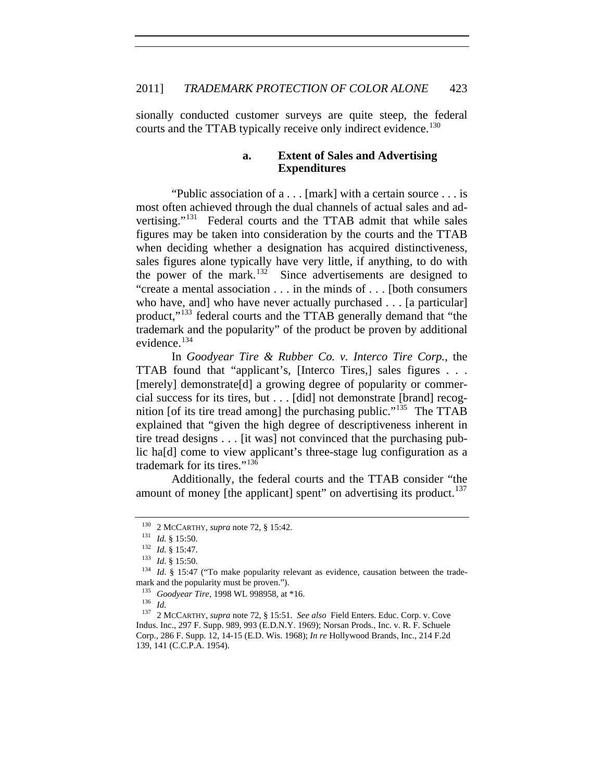sionally conducted customer surveys are quite steep, the federal courts and the TTAB typically receive only indirect evidence.<sup>[130](#page-16-0)</sup>

# **a. Extent of Sales and Advertising Expenditures**

"Public association of a . . . [mark] with a certain source . . . is most often achieved through the dual channels of actual sales and advertising."[131](#page-16-1) Federal courts and the TTAB admit that while sales figures may be taken into consideration by the courts and the TTAB when deciding whether a designation has acquired distinctiveness, sales figures alone typically have very little, if anything, to do with the power of the mark.<sup>[132](#page-16-2)</sup> Since advertisements are designed to "create a mental association . . . in the minds of . . . [both consumers who have, and who have never actually purchased . . . [a particular] product,"[133](#page-16-3) federal courts and the TTAB generally demand that "the trademark and the popularity" of the product be proven by additional evidence.<sup>[134](#page-16-4)</sup>

In *Goodyear Tire & Rubber Co. v. Interco Tire Corp.*, the TTAB found that "applicant's, [Interco Tires,] sales figures . . . [merely] demonstrate[d] a growing degree of popularity or commercial success for its tires, but . . . [did] not demonstrate [brand] recog-nition [of its tire tread among] the purchasing public."<sup>[135](#page-16-5)</sup> The TTAB explained that "given the high degree of descriptiveness inherent in tire tread designs . . . [it was] not convinced that the purchasing public ha[d] come to view applicant's three-stage lug configuration as a trademark for its tires."[136](#page-16-6)

Additionally, the federal courts and the TTAB consider "the amount of money [the applicant] spent" on advertising its product.<sup>[137](#page-16-7)</sup>

<span id="page-16-3"></span><span id="page-16-2"></span><span id="page-16-1"></span><span id="page-16-0"></span><sup>130 2</sup> McCARTHY, *supra* note 72, § 15:42.<br>
131 *Id.* § 15:50.<br>
132 *Id.* § 15:47.<br>
133 *Id.* § 15:50.<br>
<sup>134</sup> *Id.* § 15:50.<br>
<sup>134</sup> *Id.* § 15:47 ("To make popularity relevant as evidence, causation between the trademark and the popularity must be proven.").<br><sup>135</sup> Goodvear Tire, 1998 WL 998958, at \*16.

<span id="page-16-7"></span><span id="page-16-6"></span><span id="page-16-5"></span><span id="page-16-4"></span><sup>136</sup> *Id.*<br><sup>136</sup> *Id.* 2 McCARTHY, *supra* note 72, § 15:51. *See also* Field Enters. Educ. Corp. v. Cove Indus. Inc., 297 F. Supp. 989, 993 (E.D.N.Y. 1969); Norsan Prods., Inc. v. R. F. Schuele Corp., 286 F. Supp. 12, 14-15 (E.D. Wis. 1968); *In re* Hollywood Brands, Inc., 214 F.2d 139, 141 (C.C.P.A. 1954).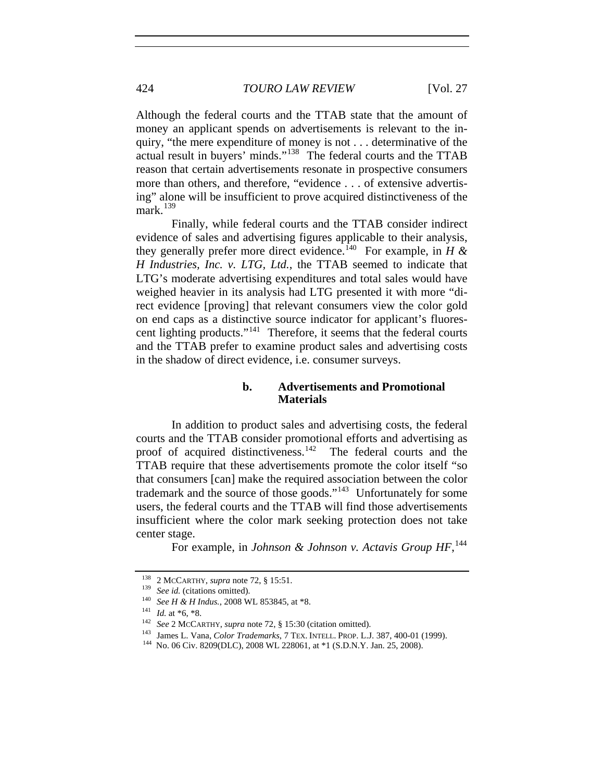Although the federal courts and the TTAB state that the amount of money an applicant spends on advertisements is relevant to the inquiry, "the mere expenditure of money is not . . . determinative of the actual result in buyers' minds."[138](#page-17-0) The federal courts and the TTAB reason that certain advertisements resonate in prospective consumers more than others, and therefore, "evidence . . . of extensive advertising" alone will be insufficient to prove acquired distinctiveness of the mark. $139$ 

Finally, while federal courts and the TTAB consider indirect evidence of sales and advertising figures applicable to their analysis, they generally prefer more direct evidence.<sup>[140](#page-17-2)</sup> For example, in  $H \&$ *H Industries, Inc. v. LTG, Ltd.*, the TTAB seemed to indicate that LTG's moderate advertising expenditures and total sales would have weighed heavier in its analysis had LTG presented it with more "direct evidence [proving] that relevant consumers view the color gold on end caps as a distinctive source indicator for applicant's fluorescent lighting products."[141](#page-17-3) Therefore, it seems that the federal courts and the TTAB prefer to examine product sales and advertising costs in the shadow of direct evidence, i.e. consumer surveys.

## **b. Advertisements and Promotional Materials**

In addition to product sales and advertising costs, the federal courts and the TTAB consider promotional efforts and advertising as proof of acquired distinctiveness. $142$  The federal courts and the TTAB require that these advertisements promote the color itself "so that consumers [can] make the required association between the color trademark and the source of those goods."<sup>[143](#page-17-5)</sup> Unfortunately for some users, the federal courts and the TTAB will find those advertisements insufficient where the color mark seeking protection does not take center stage.

For example, in *Johnson & Johnson v. Actavis Group HF*, [144](#page-17-6)

<span id="page-17-1"></span>

<span id="page-17-2"></span>

<span id="page-17-4"></span><span id="page-17-3"></span>

<span id="page-17-5"></span>

<span id="page-17-0"></span><sup>&</sup>lt;sup>138</sup> 2 McCARTHY, *supra* note 72, § 15:51.<br>
<sup>139</sup> *See id.* (citations omitted).<br>
<sup>140</sup> *See H & H Indus.*, 2008 WL 853845, at \*8.<br>
<sup>141</sup> *Id.* at \*6, \*8.<br>
<sup>142</sup> *See* 2 McCARTHY, *supra* note 72, § 15:30 (citation omitt

<span id="page-17-6"></span>144 No. 06 Civ. 8209(DLC), 2008 WL 228061, at \*1 (S.D.N.Y. Jan. 25, 2008).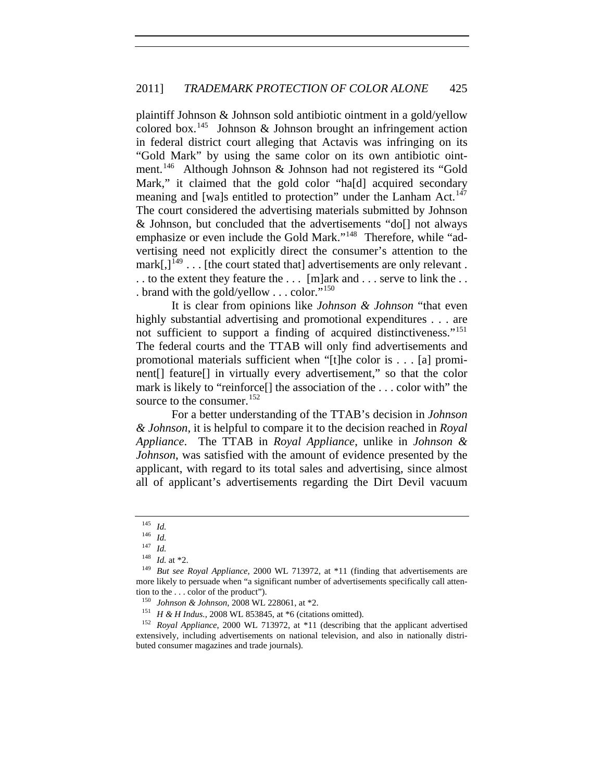. brand with the gold/yellow . . . color."<sup>150</sup> plaintiff Johnson & Johnson sold antibiotic ointment in a gold/yellow colored box.<sup>[145](#page-18-0)</sup> Johnson & Johnson brought an infringement action in federal district court alleging that Actavis was infringing on its "Gold Mark" by using the same color on its own antibiotic ointment.[146](#page-18-1) Although Johnson & Johnson had not registered its "Gold Mark," it claimed that the gold color "ha[d] acquired secondary meaning and [wa]s entitled to protection" under the Lanham Act.<sup>[147](#page-18-2)</sup> The court considered the advertising materials submitted by Johnson & Johnson, but concluded that the advertisements "do[] not always emphasize or even include the Gold Mark."<sup>[148](#page-18-3)</sup> Therefore, while "advertising need not explicitly direct the consumer's attention to the  $mark[$ , $]^{149}$  $]^{149}$  $]^{149}$ ... [the court stated that] advertisements are only relevant. . . to the extent they feature the . . . [m]ark and . . . serve to link the . .

It is clear from opinions like *Johnson & Johnson* "that even highly substantial advertising and promotional expenditures . . . are not sufficient to support a finding of acquired distinctiveness."[151](#page-18-5) The federal courts and the TTAB will only find advertisements and promotional materials sufficient when "[t]he color is . . . [a] prominent[] feature[] in virtually every advertisement," so that the color mark is likely to "reinforce[] the association of the . . . color with" the source to the consumer.<sup>[152](#page-18-6)</sup>

For a better understanding of the TTAB's decision in *Johnson & Johnson*, it is helpful to compare it to the decision reached in *Royal Appliance*. The TTAB in *Royal Appliance*, unlike in *Johnson & Johnson*, was satisfied with the amount of evidence presented by the applicant, with regard to its total sales and advertising, since almost all of applicant's advertisements regarding the Dirt Devil vacuum

 $\frac{145}{146}$  *Id.* 

<span id="page-18-3"></span><span id="page-18-2"></span><span id="page-18-1"></span><span id="page-18-0"></span><sup>146</sup> *Id.*<br><sup>147</sup> *Id.* at \*2.<br><sup>148</sup> *But see Royal Appliance*, 2000 WL 713972, at \*11 (finding that advertisements are more likely to persuade when "a significant number of advertisements specifically call attention to the . . . color of the product").

<span id="page-18-6"></span><span id="page-18-5"></span><span id="page-18-4"></span><sup>&</sup>lt;sup>150</sup> *Johnson & Johnson*, 2008 WL 228061, at \*2.<br><sup>151</sup> *H & H Indus.*, 2008 WL 853845, at \*6 (citations omitted).<br><sup>152</sup> *Royal Appliance*, 2000 WL 713972, at \*11 (describing that the applicant advertised extensively, including advertisements on national television, and also in nationally distributed consumer magazines and trade journals).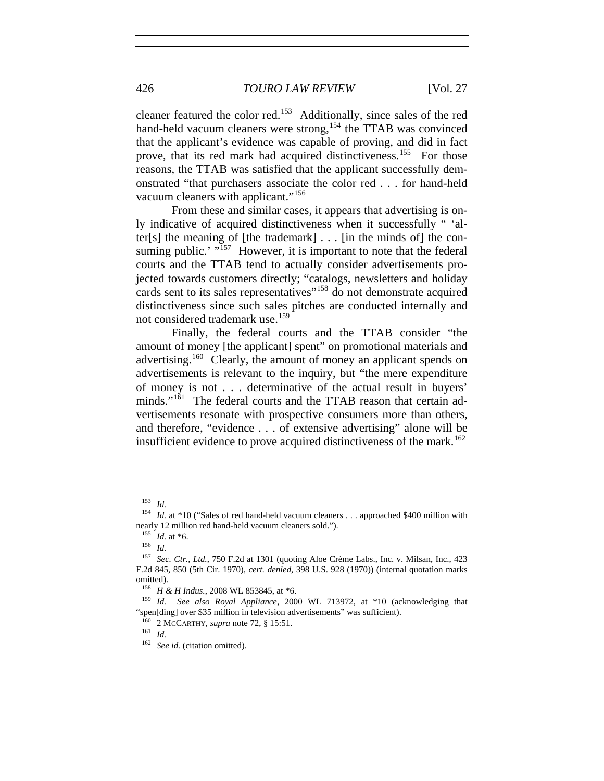cleaner featured the color red.[153](#page-19-0) Additionally, since sales of the red hand-held vacuum cleaners were strong,<sup>[154](#page-19-1)</sup> the TTAB was convinced that the applicant's evidence was capable of proving, and did in fact prove, that its red mark had acquired distinctiveness.<sup>[155](#page-19-2)</sup> For those reasons, the TTAB was satisfied that the applicant successfully demonstrated "that purchasers associate the color red . . . for hand-held vacuum cleaners with applicant."[156](#page-19-3)

From these and similar cases, it appears that advertising is only indicative of acquired distinctiveness when it successfully " 'alter[s] the meaning of [the trademark]  $\ldots$  [in the minds of] the consuming public.'  $\frac{157}{157}$  $\frac{157}{157}$  $\frac{157}{157}$  However, it is important to note that the federal courts and the TTAB tend to actually consider advertisements projected towards customers directly; "catalogs, newsletters and holiday cards sent to its sales representatives<sup>"[158](#page-19-5)</sup> do not demonstrate acquired distinctiveness since such sales pitches are conducted internally and not considered trademark use.<sup>[159](#page-19-6)</sup>

Finally, the federal courts and the TTAB consider "the amount of money [the applicant] spent" on promotional materials and advertising.<sup>[160](#page-19-7)</sup> Clearly, the amount of money an applicant spends on advertisements is relevant to the inquiry, but "the mere expenditure of money is not . . . determinative of the actual result in buyers' minds."<sup>[161](#page-19-8)</sup> The federal courts and the TTAB reason that certain advertisements resonate with prospective consumers more than others, and therefore, "evidence . . . of extensive advertising" alone will be insufficient evidence to prove acquired distinctiveness of the mark.<sup>[162](#page-19-9)</sup>

<span id="page-19-1"></span><span id="page-19-0"></span><sup>&</sup>lt;sup>153</sup> *Id.* 154 *Id.* 154 *Id.* at \*10 ("Sales of red hand-held vacuum cleaners . . . approached \$400 million with nearly 12 million red hand-held vacuum cleaners sold.").

<sup>155</sup> *Id.* at \*6. 156 *Id.*

<span id="page-19-4"></span><span id="page-19-3"></span><span id="page-19-2"></span><sup>157</sup> *Sec. Ctr., Ltd.*, 750 F.2d at 1301 (quoting Aloe Crème Labs., Inc. v. Milsan, Inc., 423 F.2d 845, 850 (5th Cir. 1970), *cert. denied*, 398 U.S. 928 (1970)) (internal quotation marks omitted).<br><sup>158</sup> *H & H Indus.*, 2008 WL 853845, at \*6.

<span id="page-19-8"></span><span id="page-19-7"></span><span id="page-19-6"></span><span id="page-19-5"></span><sup>&</sup>lt;sup>159</sup> *Id.* See also Royal Appliance, 2000 WL 713972, at \*10 (acknowledging that "spen[ding] over \$35 million in television advertisements" was sufficient). 160 2 MCCARTHY, *supra* note 72, § 15:51. 161 *Id.*

<span id="page-19-9"></span><sup>162</sup> *See id.* (citation omitted).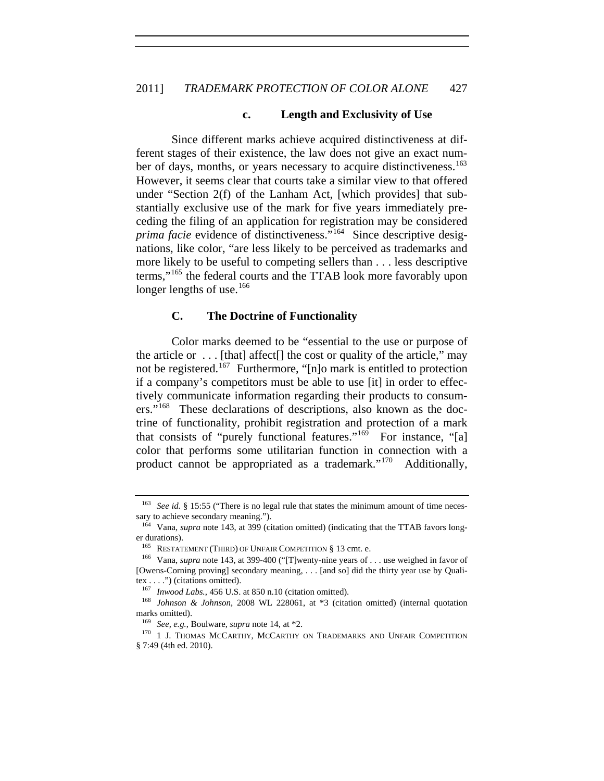#### **c. Length and Exclusivity of Use**

Since different marks achieve acquired distinctiveness at different stages of their existence, the law does not give an exact num-ber of days, months, or years necessary to acquire distinctiveness.<sup>[163](#page-20-0)</sup> However, it seems clear that courts take a similar view to that offered under "Section 2(f) of the Lanham Act, [which provides] that substantially exclusive use of the mark for five years immediately preceding the filing of an application for registration may be considered *prima facie* evidence of distinctiveness."<sup>[164](#page-20-1)</sup> Since descriptive designations, like color, "are less likely to be perceived as trademarks and more likely to be useful to competing sellers than . . . less descriptive terms,"[165](#page-20-2) the federal courts and the TTAB look more favorably upon longer lengths of use.<sup>[166](#page-20-3)</sup>

# **C. The Doctrine of Functionality**

Color marks deemed to be "essential to the use or purpose of the article or  $\dots$  [that] affect[] the cost or quality of the article," may not be registered.<sup>[167](#page-20-4)</sup> Furthermore, "[n]o mark is entitled to protection if a company's competitors must be able to use [it] in order to effectively communicate information regarding their products to consumers."[168](#page-20-5) These declarations of descriptions, also known as the doctrine of functionality, prohibit registration and protection of a mark that consists of "purely functional features." $169$  For instance, "[a] color that performs some utilitarian function in connection with a product cannot be appropriated as a trademark."[170](#page-20-7) Additionally,

<span id="page-20-0"></span>See id. § 15:55 ("There is no legal rule that states the minimum amount of time necessary to achieve secondary meaning.").

<span id="page-20-1"></span><sup>&</sup>lt;sup>164</sup> Vana, *supra* note 143, at 399 (citation omitted) (indicating that the TTAB favors longer durations).<br>  $^{165}$  RESTATEMENT (THIRD) OF UNFAIR COMPETITION § 13 cmt. e.

<span id="page-20-3"></span><span id="page-20-2"></span><sup>&</sup>lt;sup>166</sup> Vana. *supra* note 143, at 399-400 ("[T]wenty-nine years of . . . use weighed in favor of [Owens-Corning proving] secondary meaning, . . . [and so] did the thirty year use by Qualitex . . . .") (citations omitted).<br> $167$  *Inwood Labs.*, 456 U.S. at 850 n.10 (citation omitted).

<span id="page-20-5"></span><span id="page-20-4"></span><sup>&</sup>lt;sup>168</sup> *Johnson & Johnson*, 2008 WL 228061, at \*3 (citation omitted) (internal quotation marks omitted).

<span id="page-20-7"></span><span id="page-20-6"></span><sup>&</sup>lt;sup>169</sup> *See, e.g.*, Boulware, *supra* note 14, at \*2.<br><sup>170</sup> 1 J. THOMAS MCCARTHY, MCCARTHY ON TRADEMARKS AND UNFAIR COMPETITION § 7:49 (4th ed. 2010).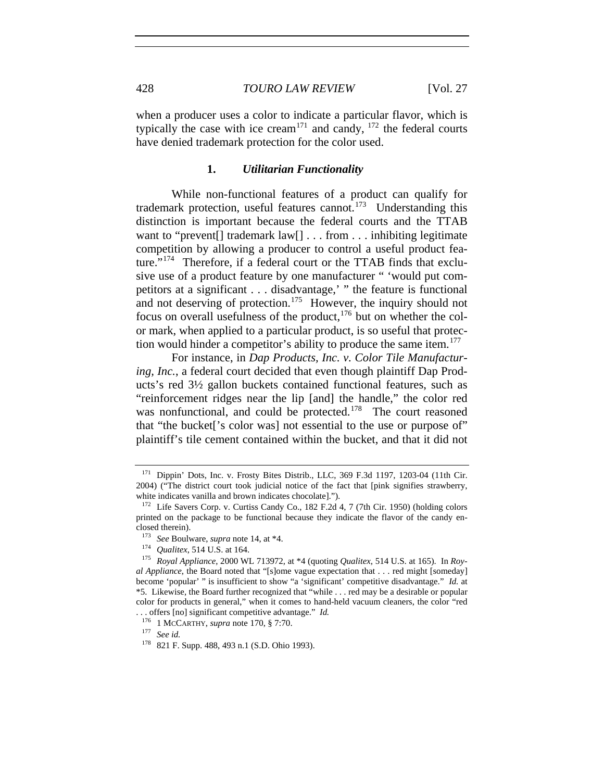when a producer uses a color to indicate a particular flavor, which is typically the case with ice cream<sup>[171](#page-21-0)</sup> and candy,  $172$  the federal courts have denied trademark protection for the color used.

#### **1.** *Utilitarian Functionality*

While non-functional features of a product can qualify for trademark protection, useful features cannot.<sup>[173](#page-21-2)</sup> Understanding this distinction is important because the federal courts and the TTAB want to "prevent<sup>[]</sup> trademark law<sup>[]</sup> . . . from . . . inhibiting legitimate competition by allowing a producer to control a useful product feature."[174](#page-21-3) Therefore, if a federal court or the TTAB finds that exclusive use of a product feature by one manufacturer " 'would put competitors at a significant . . . disadvantage,' " the feature is functional and not deserving of protection.<sup>[175](#page-21-4)</sup> However, the inquiry should not focus on overall usefulness of the product, $176$  but on whether the color mark, when applied to a particular product, is so useful that protec-tion would hinder a competitor's ability to produce the same item.<sup>[177](#page-21-6)</sup>

For instance, in *Dap Products, Inc. v. Color Tile Manufacturing, Inc.*, a federal court decided that even though plaintiff Dap Products's red 3½ gallon buckets contained functional features, such as "reinforcement ridges near the lip [and] the handle," the color red was nonfunctional, and could be protected.<sup>[178](#page-21-7)</sup> The court reasoned that "the bucket['s color was] not essential to the use or purpose of" plaintiff's tile cement contained within the bucket, and that it did not

<span id="page-21-0"></span><sup>&</sup>lt;sup>171</sup> Dippin' Dots, Inc. v. Frosty Bites Distrib., LLC, 369 F.3d 1197, 1203-04 (11th Cir. 2004) ("The district court took judicial notice of the fact that [pink signifies strawberry, white indicates vanilla and brown indicates chocolate].").<br> $^{172}$  Life Savers Corp. v. Curtiss Candy Co., 182 F.2d 4, 7 (7th Cir. 1950) (holding colors

<span id="page-21-1"></span>printed on the package to be functional because they indicate the flavor of the candy enclosed therein).<br> $^{173}$  *See* Boulware, *supra* note 14, at \*4.

<span id="page-21-4"></span><span id="page-21-3"></span><span id="page-21-2"></span><sup>&</sup>lt;sup>174</sup> *Qualitex*, 514 U.S. at 164.<br><sup>175</sup> *Royal Appliance*, 2000 WL 713972, at \*4 (quoting *Qualitex*, 514 U.S. at 165). In *Royal Appliance*, the Board noted that "[s]ome vague expectation that . . . red might [someday] become 'popular' " is insufficient to show "a 'significant' competitive disadvantage." *Id.* at \*5. Likewise, the Board further recognized that "while . . . red may be a desirable or popular color for products in general," when it comes to hand-held vacuum cleaners, the color "red . . . offers [no] significant competitive advantage." *Id.*<sup>176</sup> 1 MCCARTHY, *supra* note 170, § 7:70. 177 *See id.*

<span id="page-21-7"></span><span id="page-21-6"></span><span id="page-21-5"></span>

<sup>178</sup> 821 F. Supp. 488, 493 n.1 (S.D. Ohio 1993).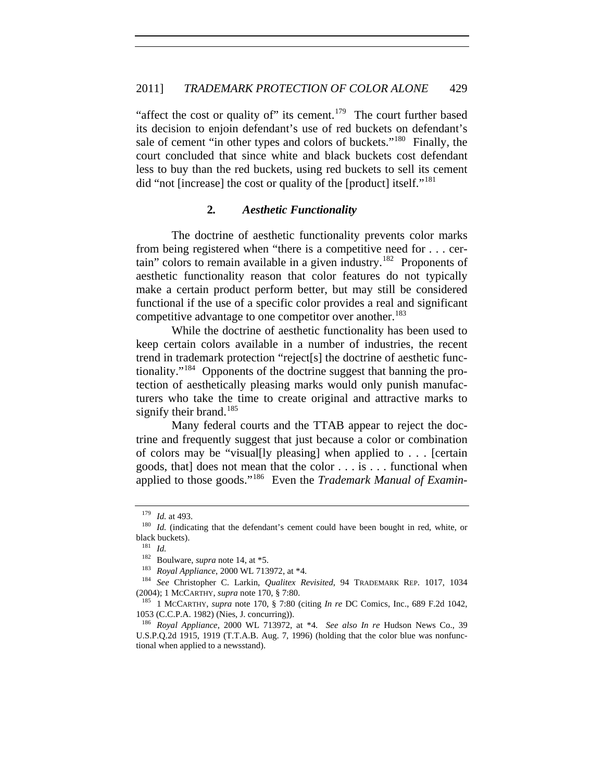"affect the cost or quality of" its cement.<sup>[179](#page-22-0)</sup> The court further based its decision to enjoin defendant's use of red buckets on defendant's sale of cement "in other types and colors of buckets."<sup>[180](#page-22-1)</sup> Finally, the court concluded that since white and black buckets cost defendant less to buy than the red buckets, using red buckets to sell its cement did "not [increase] the cost or quality of the [product] itself."<sup>[181](#page-22-2)</sup>

#### **2***. Aesthetic Functionality*

The doctrine of aesthetic functionality prevents color marks from being registered when "there is a competitive need for . . . cer-tain" colors to remain available in a given industry.<sup>[182](#page-22-3)</sup> Proponents of aesthetic functionality reason that color features do not typically make a certain product perform better, but may still be considered functional if the use of a specific color provides a real and significant competitive advantage to one competitor over another.<sup>[183](#page-22-4)</sup>

While the doctrine of aesthetic functionality has been used to keep certain colors available in a number of industries, the recent trend in trademark protection "reject[s] the doctrine of aesthetic functionality."[184](#page-22-5) Opponents of the doctrine suggest that banning the protection of aesthetically pleasing marks would only punish manufacturers who take the time to create original and attractive marks to signify their brand.<sup>[185](#page-22-6)</sup>

Many federal courts and the TTAB appear to reject the doctrine and frequently suggest that just because a color or combination of colors may be "visual[ly pleasing] when applied to . . . [certain goods, that] does not mean that the color . . . is . . . functional when applied to those goods."[186](#page-22-7) Even the *Trademark Manual of Examin-*

<span id="page-22-1"></span><span id="page-22-0"></span><sup>&</sup>lt;sup>179</sup> *Id.* at 493.<br><sup>180</sup> *Id.* (indicating that the defendant's cement could have been bought in red, white, or black buckets).

<sup>&</sup>lt;sup>181</sup> *Id.* Boulware, *supra* note 14, at \*5.

<span id="page-22-5"></span><span id="page-22-4"></span><span id="page-22-3"></span><span id="page-22-2"></span><sup>182</sup> Boulware, *supra* note 14, at \*5. 183 *Royal Appliance*, 2000 WL 713972, at \*4. 184 *See* Christopher C. Larkin, *Qualitex Revisited*, 94 TRADEMARK REP. 1017, 1034 (2004); 1 McCARTHY, *supra* note 170, § 7:80.<br><sup>185</sup> 1 McCARTHY, *supra* note 170, § 7:80 (citing *In re* DC Comics, Inc., 689 F.2d 1042,

<span id="page-22-6"></span><sup>1053 (</sup>C.C.P.A. 1982) (Nies, J. concurring)).

<span id="page-22-7"></span><sup>186</sup> *Royal Appliance*, 2000 WL 713972, at \*4. *See also In re* Hudson News Co., 39 U.S.P.Q.2d 1915, 1919 (T.T.A.B. Aug. 7, 1996) (holding that the color blue was nonfunctional when applied to a newsstand).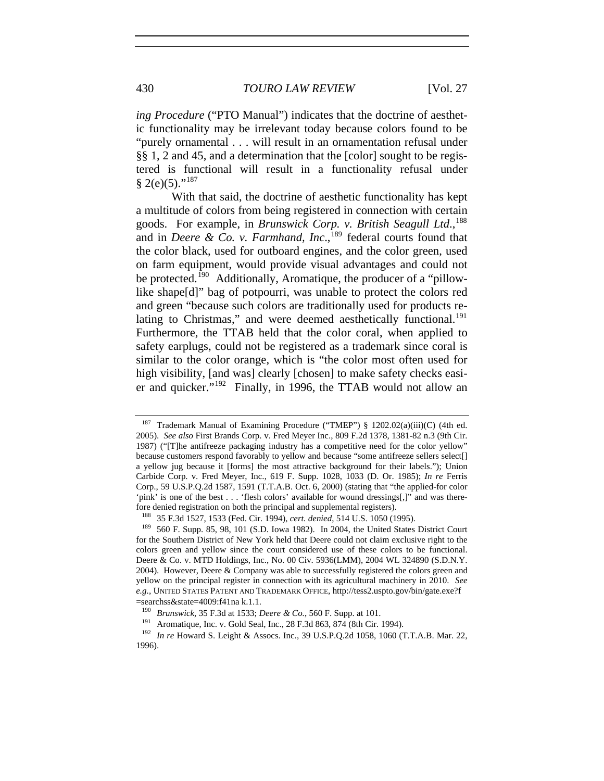*ing Procedure* ("PTO Manual") indicates that the doctrine of aesthetic functionality may be irrelevant today because colors found to be "purely ornamental . . . will result in an ornamentation refusal under §§ 1, 2 and 45, and a determination that the [color] sought to be registered is functional will result in a functionality refusal under  $§ 2(e)(5).$ "<sup>[187](#page-23-0)</sup>

With that said, the doctrine of aesthetic functionality has kept a multitude of colors from being registered in connection with certain goods. For example, in *Brunswick Corp. v. British Seagull Ltd.*,<sup>[188](#page-23-1)</sup> and in *Deere & Co. v. Farmhand, Inc.*,<sup>[189](#page-23-2)</sup> federal courts found that the color black, used for outboard engines, and the color green, used on farm equipment, would provide visual advantages and could not be protected.<sup>[190](#page-23-3)</sup> Additionally, Aromatique, the producer of a "pillowlike shape[d]" bag of potpourri, was unable to protect the colors red and green "because such colors are traditionally used for products re-lating to Christmas," and were deemed aesthetically functional.<sup>[191](#page-23-4)</sup> Furthermore, the TTAB held that the color coral, when applied to safety earplugs, could not be registered as a trademark since coral is similar to the color orange, which is "the color most often used for high visibility, [and was] clearly [chosen] to make safety checks easier and quicker."[192](#page-23-5) Finally, in 1996, the TTAB would not allow an

<span id="page-23-0"></span><sup>&</sup>lt;sup>187</sup> Trademark Manual of Examining Procedure ("TMEP") § 1202.02(a)(iii)(C) (4th ed. 2005). *See also* First Brands Corp. v. Fred Meyer Inc., 809 F.2d 1378, 1381-82 n.3 (9th Cir. 1987) ("[T]he antifreeze packaging industry has a competitive need for the color yellow" because customers respond favorably to yellow and because "some antifreeze sellers select[] a yellow jug because it [forms] the most attractive background for their labels."); Union Carbide Corp. v. Fred Meyer, Inc., 619 F. Supp. 1028, 1033 (D. Or. 1985); *In re* Ferris Corp., 59 U.S.P.Q.2d 1587, 1591 (T.T.A.B. Oct. 6, 2000) (stating that "the applied-for color 'pink' is one of the best . . . 'flesh colors' available for wound dressings[,]" and was therefore denied registration on both the principal and supplemental registers).<br><sup>188</sup> 35 F.3d 1527, 1533 (Fed. Cir. 1994), *cert. denied*, 514 U.S. 1050 (1995).<br><sup>189</sup> 560 F. Supp. 85, 98, 101 (S.D. Iowa 1982). In 2004, the Uni

<span id="page-23-2"></span><span id="page-23-1"></span>for the Southern District of New York held that Deere could not claim exclusive right to the colors green and yellow since the court considered use of these colors to be functional. Deere & Co. v. MTD Holdings, Inc., No. 00 Civ. 5936(LMM), 2004 WL 324890 (S.D.N.Y. 2004). However, Deere & Company was able to successfully registered the colors green and yellow on the principal register in connection with its agricultural machinery in 2010. *See e.g.*, UNITED STATES PATENT AND TRADEMARK OFFICE, http://tess2.uspto.gov/bin/gate.exe?f

<span id="page-23-3"></span><sup>=</sup>searchss&state=4009:f41na k.1.1.<br><sup>190</sup> Brunswick, 35 F.3d at 1533; Deere & Co., 560 F. Supp. at 101.

<span id="page-23-5"></span><span id="page-23-4"></span><sup>&</sup>lt;sup>191</sup> Aromatique, Inc. v. Gold Seal, Inc., 28 F.3d 863, 874 (8th Cir. 1994).<br><sup>192</sup> *In re* Howard S. Leight & Assocs. Inc., 39 U.S.P.Q.2d 1058, 1060 (T.T.A.B. Mar. 22, 1996).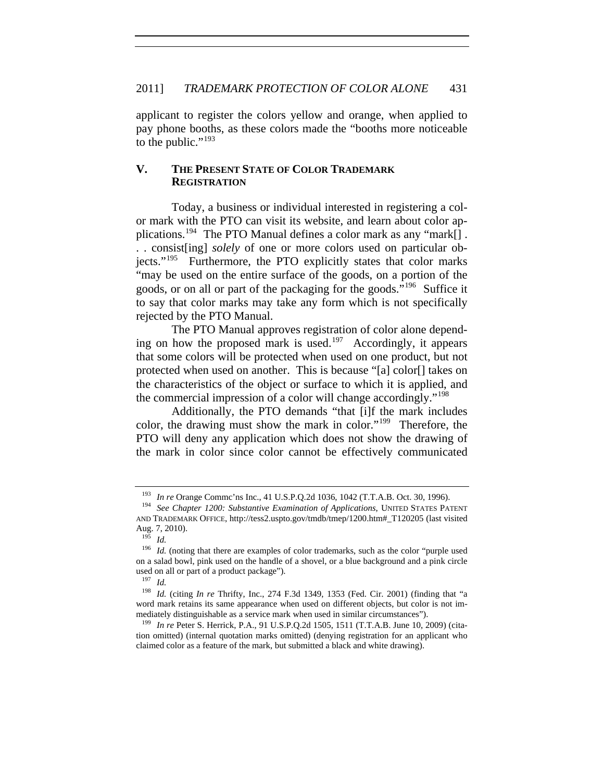applicant to register the colors yellow and orange, when applied to pay phone booths, as these colors made the "booths more noticeable to the public."<sup>[193](#page-24-0)</sup>

# **V. THE PRESENT STATE OF COLOR TRADEMARK REGISTRATION**

Today, a business or individual interested in registering a color mark with the PTO can visit its website, and learn about color ap-plications.<sup>[194](#page-24-1)</sup> The PTO Manual defines a color mark as any "mark[]. . . consist[ing] *solely* of one or more colors used on particular objects."[195](#page-24-2) Furthermore, the PTO explicitly states that color marks "may be used on the entire surface of the goods, on a portion of the goods, or on all or part of the packaging for the goods."[196](#page-24-3) Suffice it to say that color marks may take any form which is not specifically rejected by the PTO Manual.

The PTO Manual approves registration of color alone depend-ing on how the proposed mark is used.<sup>[197](#page-24-4)</sup> Accordingly, it appears that some colors will be protected when used on one product, but not protected when used on another. This is because "[a] color[] takes on the characteristics of the object or surface to which it is applied, and the commercial impression of a color will change accordingly."[198](#page-24-5)

Additionally, the PTO demands "that [i]f the mark includes color, the drawing must show the mark in color."[199](#page-24-6) Therefore, the PTO will deny any application which does not show the drawing of the mark in color since color cannot be effectively communicated

<sup>193</sup> *In re* Orange Commc'ns Inc., 41 U.S.P.Q.2d 1036, 1042 (T.T.A.B. Oct. 30, 1996). 194 *See Chapter 1200: Substantive Examination of Applications*, UNITED STATES PATENT

<span id="page-24-1"></span><span id="page-24-0"></span>AND TRADEMARK OFFICE, http://tess2.uspto.gov/tmdb/tmep/1200.htm#\_T120205 (last visited Aug. 7, 2010).

<sup>195</sup> *Id.* 

<span id="page-24-3"></span><span id="page-24-2"></span><sup>&</sup>lt;sup>196</sup> *Id.* (noting that there are examples of color trademarks, such as the color "purple used on a salad bowl, pink used on the handle of a shovel, or a blue background and a pink circle used on all or part of a product package").<br> $\frac{197}{14}$ 

 $\frac{197}{198}$  *Id.* 

<span id="page-24-5"></span><span id="page-24-4"></span>*Id.* (citing *In re* Thrifty, Inc., 274 F.3d 1349, 1353 (Fed. Cir. 2001) (finding that "a word mark retains its same appearance when used on different objects, but color is not immediately distinguishable as a service mark when used in similar circumstances").

<span id="page-24-6"></span><sup>199</sup> *In re* Peter S. Herrick, P.A., 91 U.S.P.Q.2d 1505, 1511 (T.T.A.B. June 10, 2009) (citation omitted) (internal quotation marks omitted) (denying registration for an applicant who claimed color as a feature of the mark, but submitted a black and white drawing).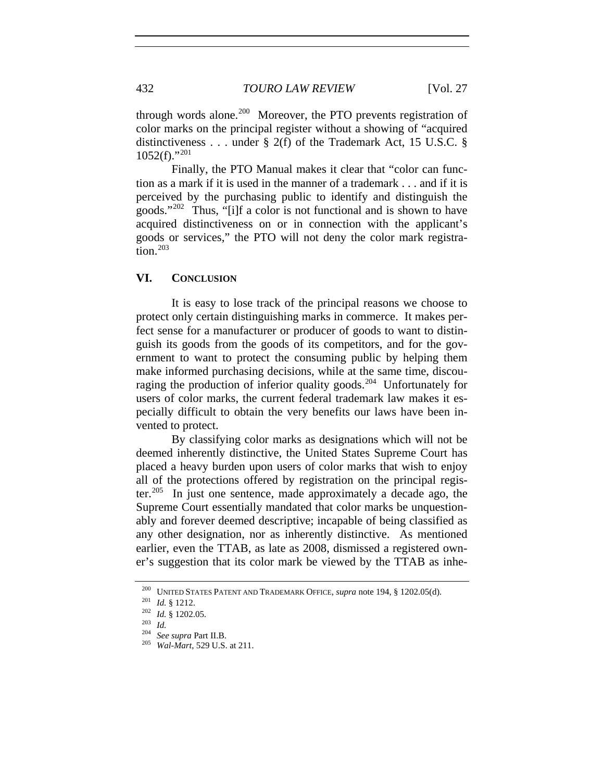through words alone.<sup>[200](#page-25-0)</sup> Moreover, the PTO prevents registration of color marks on the principal register without a showing of "acquired distinctiveness . . . under § 2(f) of the Trademark Act, 15 U.S.C. §  $1052(f)$ ."<sup>[201](#page-25-1)</sup>

Finally, the PTO Manual makes it clear that "color can function as a mark if it is used in the manner of a trademark . . . and if it is perceived by the purchasing public to identify and distinguish the goods."[202](#page-25-2) Thus, "[i]f a color is not functional and is shown to have acquired distinctiveness on or in connection with the applicant's goods or services," the PTO will not deny the color mark registration. $203$ 

## **VI. CONCLUSION**

It is easy to lose track of the principal reasons we choose to protect only certain distinguishing marks in commerce. It makes perfect sense for a manufacturer or producer of goods to want to distinguish its goods from the goods of its competitors, and for the government to want to protect the consuming public by helping them make informed purchasing decisions, while at the same time, discouraging the production of inferior quality goods.[204](#page-25-4) Unfortunately for users of color marks, the current federal trademark law makes it especially difficult to obtain the very benefits our laws have been invented to protect.

By classifying color marks as designations which will not be deemed inherently distinctive, the United States Supreme Court has placed a heavy burden upon users of color marks that wish to enjoy all of the protections offered by registration on the principal register.[205](#page-25-5) In just one sentence, made approximately a decade ago, the Supreme Court essentially mandated that color marks be unquestionably and forever deemed descriptive; incapable of being classified as any other designation, nor as inherently distinctive. As mentioned earlier, even the TTAB, as late as 2008, dismissed a registered owner's suggestion that its color mark be viewed by the TTAB as inhe-

<span id="page-25-1"></span><span id="page-25-0"></span><sup>200</sup> UNITED STATES PATENT AND TRADEMARK OFFICE, *supra* note 194, § 1202.05(d). 201 *Id.* § 1212. 202 *Id.* § 1202.05. 203 *Id.* <sup>204</sup> *See supra* Part II.B. 205 *Wal-Mart*, 529 U.S. at 211.

<span id="page-25-2"></span>

<span id="page-25-4"></span><span id="page-25-3"></span>

<span id="page-25-5"></span>